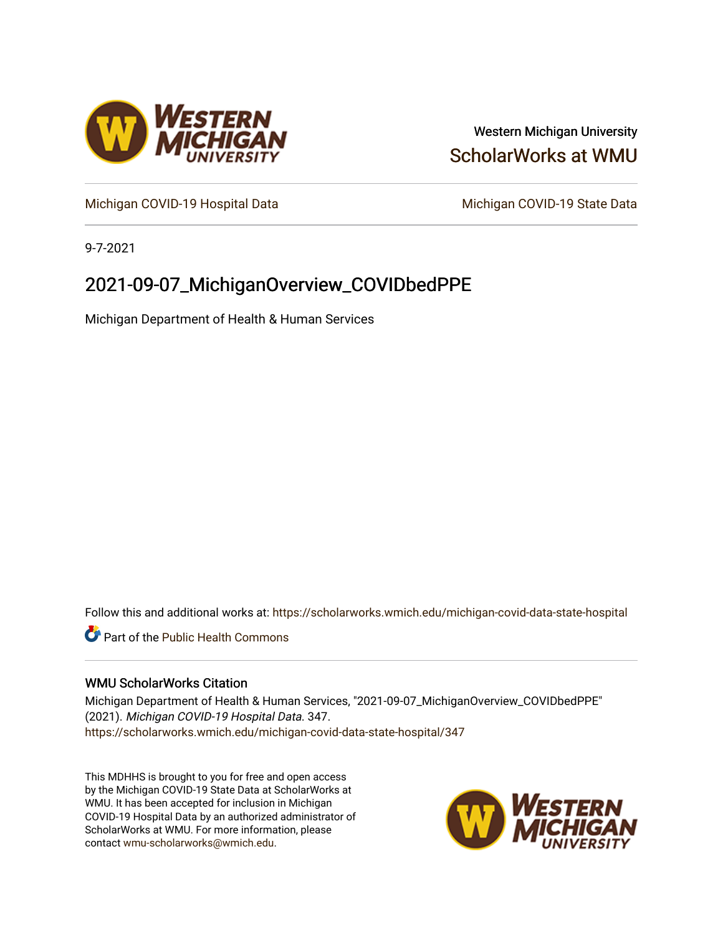

# Western Michigan University [ScholarWorks at WMU](https://scholarworks.wmich.edu/)

[Michigan COVID-19 Hospital Data](https://scholarworks.wmich.edu/michigan-covid-data-state-hospital) Michigan COVID-19 State Data

9-7-2021

# 2021-09-07\_MichiganOverview\_COVIDbedPPE

Michigan Department of Health & Human Services

Follow this and additional works at: [https://scholarworks.wmich.edu/michigan-covid-data-state-hospital](https://scholarworks.wmich.edu/michigan-covid-data-state-hospital?utm_source=scholarworks.wmich.edu%2Fmichigan-covid-data-state-hospital%2F347&utm_medium=PDF&utm_campaign=PDFCoverPages) 

**Part of the Public Health Commons** 

# WMU ScholarWorks Citation

Michigan Department of Health & Human Services, "2021-09-07\_MichiganOverview\_COVIDbedPPE" (2021). Michigan COVID-19 Hospital Data. 347. [https://scholarworks.wmich.edu/michigan-covid-data-state-hospital/347](https://scholarworks.wmich.edu/michigan-covid-data-state-hospital/347?utm_source=scholarworks.wmich.edu%2Fmichigan-covid-data-state-hospital%2F347&utm_medium=PDF&utm_campaign=PDFCoverPages) 

This MDHHS is brought to you for free and open access by the Michigan COVID-19 State Data at ScholarWorks at WMU. It has been accepted for inclusion in Michigan COVID-19 Hospital Data by an authorized administrator of ScholarWorks at WMU. For more information, please contact [wmu-scholarworks@wmich.edu](mailto:wmu-scholarworks@wmich.edu).

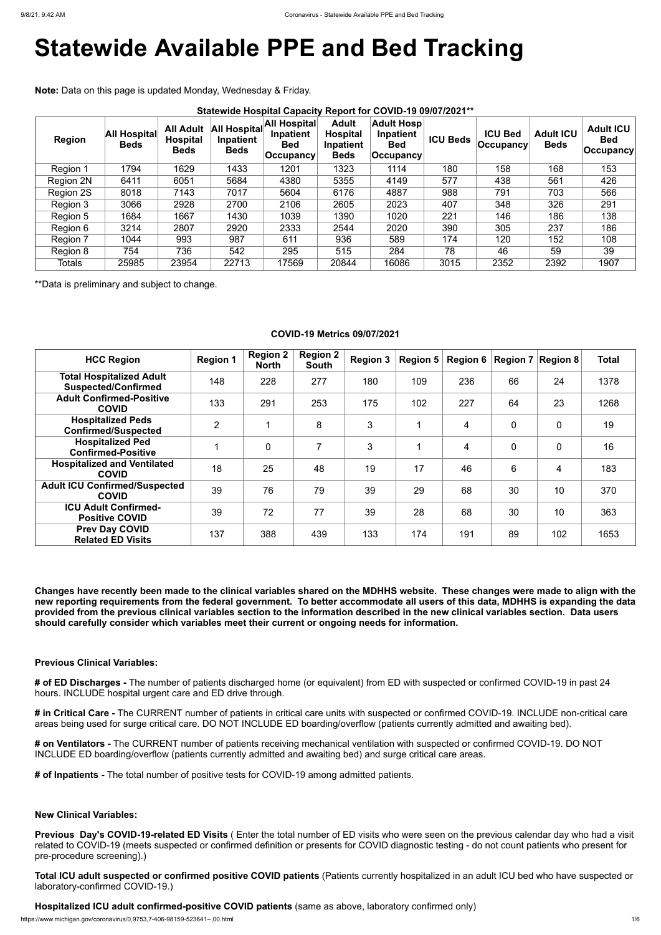# **Statewide Available PPE and Bed Tracking**

**Note:** Data on this page is updated Monday, Wednesday & Friday.

| <b>Region</b>    | <b>All Hospital</b><br><b>Beds</b> | <b>All Adult</b><br><b>Hospital</b><br><b>Beds</b> | All Hospital<br>Inpatient<br><b>Beds</b> | All Hospital<br>Inpatient<br><b>Bed</b><br>$ $ Occupancy | <b>Adult</b><br><b>Hospital</b><br>Inpatient<br><b>Beds</b> | <b>Adult Hosp</b><br>Inpatient<br><b>Bed</b><br><b>Occupancy</b> | <b>ICU Beds</b> | <b>ICU Bed</b><br><b>Occupancy</b> | <b>Adult ICU</b><br><b>Beds</b> | <b>Adult ICU</b><br><b>Bed</b><br>$ $ Occupancy $ $ |
|------------------|------------------------------------|----------------------------------------------------|------------------------------------------|----------------------------------------------------------|-------------------------------------------------------------|------------------------------------------------------------------|-----------------|------------------------------------|---------------------------------|-----------------------------------------------------|
| Region 1         | 1794                               | 1629                                               | 1433                                     | 1201                                                     | 1323                                                        | 1114                                                             | 180             | 158                                | 168                             | 153                                                 |
| <b>Region 2N</b> | 6411                               | 6051                                               | 5684                                     | 4380                                                     | 5355                                                        | 4149                                                             | 577             | 438                                | 561                             | 426                                                 |
| Region 2S        | 8018                               | 7143                                               | 7017                                     | 5604                                                     | 6176                                                        | 4887                                                             | 988             | 791                                | 703                             | 566                                                 |
| Region 3         | 3066                               | 2928                                               | 2700                                     | 2106                                                     | 2605                                                        | 2023                                                             | 407             | 348                                | 326                             | 291                                                 |
| Region 5         | 1684                               | 1667                                               | 1430                                     | 1039                                                     | 1390                                                        | 1020                                                             | 221             | 146                                | 186                             | 138                                                 |
| Region 6         | 3214                               | 2807                                               | 2920                                     | 2333                                                     | 2544                                                        | 2020                                                             | 390             | 305                                | 237                             | 186                                                 |
| Region 7         | 1044                               | 993                                                | 987                                      | 611                                                      | 936                                                         | 589                                                              | 174             | 120                                | 152                             | 108                                                 |
| Region 8         | 754                                | 736                                                | 542                                      | 295                                                      | 515                                                         | 284                                                              | 78              | 46                                 | 59                              | 39                                                  |
| <b>Totals</b>    | 25985                              | 23954                                              | 22713                                    | 17569                                                    | 20844                                                       | 16086                                                            | 3015            | 2352                               | 2392                            | 1907                                                |

\*\*Data is preliminary and subject to change.

# **COVID-19 Metrics 09/07/2021**

| <b>HCC Region</b>                                             | <b>Region 1</b> | <b>Region 2</b><br><b>North</b> | <b>Region 2</b><br><b>South</b> | <b>Region 3</b> | Region $5 \mid$ | Region 6 $ $   |                | Region $7 \mid$ Region 8 | <b>Total</b> |
|---------------------------------------------------------------|-----------------|---------------------------------|---------------------------------|-----------------|-----------------|----------------|----------------|--------------------------|--------------|
| <b>Total Hospitalized Adult</b><br><b>Suspected/Confirmed</b> | 148             | 228                             | 277                             | 180             | 109             | 236            | 66             | 24                       | 1378         |
| <b>Adult Confirmed-Positive</b><br><b>COVID</b>               | 133             | 291                             | 253                             | 175             | 102             | 227            | 64             | 23                       | 1268         |
| <b>Hospitalized Peds</b><br><b>Confirmed/Suspected</b>        | $\overline{2}$  |                                 | 8                               | 3               |                 | $\overline{4}$ | $\overline{0}$ | $\overline{0}$           | 19           |
| <b>Hospitalized Ped</b><br><b>Confirmed-Positive</b>          |                 | $\overline{0}$                  | $\overline{7}$                  | 3               |                 | $\overline{4}$ | $\mathbf 0$    | $\overline{0}$           | 16           |
| <b>Hospitalized and Ventilated</b><br><b>COVID</b>            | 18              | 25                              | 48                              | 19              | 17              | 46             | 6              | 4                        | 183          |
| <b>Adult ICU Confirmed/Suspected</b><br><b>COVID</b>          | 39              | 76                              | 79                              | 39              | 29              | 68             | 30             | 10                       | 370          |
| <b>ICU Adult Confirmed-</b><br><b>Positive COVID</b>          | 39              | 72                              | 77                              | 39              | 28              | 68             | 30             | 10                       | 363          |
| <b>Prev Day COVID</b><br><b>Related ED Visits</b>             | 137             | 388                             | 439                             | 133             | 174             | 191            | 89             | 102                      | 1653         |

**Changes have recently been made to the clinical variables shared on the MDHHS website. These changes were made to align with the new reporting requirements from the federal government. To better accommodate all users of this data, MDHHS is expanding the data provided from the previous clinical variables section to the information described in the new clinical variables section. Data users should carefully consider which variables meet their current or ongoing needs for information.**

### **Previous Clinical Variables:**

**# of ED Discharges -** The number of patients discharged home (or equivalent) from ED with suspected or confirmed COVID-19 in past 24 hours. INCLUDE hospital urgent care and ED drive through.

**# in Critical Care -** The CURRENT number of patients in critical care units with suspected or confirmed COVID-19. INCLUDE non-critical care areas being used for surge critical care. DO NOT INCLUDE ED boarding/overflow (patients currently admitted and awaiting bed).

**# on Ventilators -** The CURRENT number of patients receiving mechanical ventilation with suspected or confirmed COVID-19. DO NOT INCLUDE ED boarding/overflow (patients currently admitted and awaiting bed) and surge critical care areas.

**# of Inpatients -** The total number of positive tests for COVID-19 among admitted patients.

**New Clinical Variables:**

**Previous Day's COVID-19-related ED Visits** ( Enter the total number of ED visits who were seen on the previous calendar day who had a visit related to COVID-19 (meets suspected or confirmed definition or presents for COVID diagnostic testing - do not count patients who present for pre-procedure screening).)

**Total ICU adult suspected or confirmed positive COVID patients** (Patients currently hospitalized in an adult ICU bed who have suspected or laboratory-confirmed COVID-19.)

**Hospitalized ICU adult confirmed-positive COVID patients** (same as above, laboratory confirmed only)

https://www.michigan.gov/coronavirus/0,9753,7-406-98159-523641--,00.html 1/6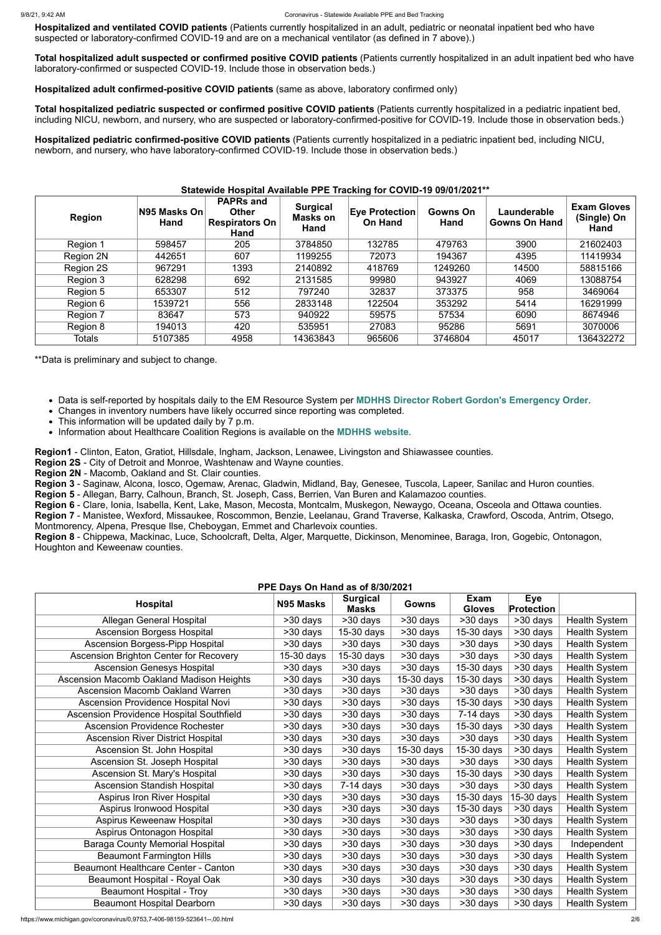**Hospitalized and ventilated COVID patients** (Patients currently hospitalized in an adult, pediatric or neonatal inpatient bed who have suspected or laboratory-confirmed COVID-19 and are on a mechanical ventilator (as defined in 7 above).)

**Total hospitalized adult suspected or confirmed positive COVID patients** (Patients currently hospitalized in an adult inpatient bed who have laboratory-confirmed or suspected COVID-19. Include those in observation beds.)

**Hospitalized adult confirmed-positive COVID patients** (same as above, laboratory confirmed only)

**Total hospitalized pediatric suspected or confirmed positive COVID patients** (Patients currently hospitalized in a pediatric inpatient bed, including NICU, newborn, and nursery, who are suspected or laboratory-confirmed-positive for COVID-19. Include those in observation beds.)

**Hospitalized pediatric confirmed-positive COVID patients** (Patients currently hospitalized in a pediatric inpatient bed, including NICU, newborn, and nursery, who have laboratory-confirmed COVID-19. Include those in observation beds.)

# **Statewide Hospital Available PPE Tracking for COVID-19 09/01/2021\*\***

| <b>Region</b> | N95 Masks On<br><b>Hand</b> | <b>PAPRs and</b><br><b>Other</b><br><b>Respirators On</b><br>Hand | <b>Surgical</b><br>Masks on<br>Hand | <b>Eye Protection</b><br><b>On Hand</b> | Gowns On<br>Hand | Launderable<br><b>Gowns On Hand</b> | <b>Exam Gloves</b><br>(Single) On<br>Hand |
|---------------|-----------------------------|-------------------------------------------------------------------|-------------------------------------|-----------------------------------------|------------------|-------------------------------------|-------------------------------------------|
| Region 1      | 598457                      | 205                                                               | 3784850                             | 132785                                  | 479763           | 3900                                | 21602403                                  |
| Region 2N     | 442651                      | 607                                                               | 1199255                             | 72073                                   | 194367           | 4395                                | 11419934                                  |
| Region 2S     | 967291                      | 1393                                                              | 2140892                             | 418769                                  | 1249260          | 14500                               | 58815166                                  |
| Region 3      | 628298                      | 692                                                               | 2131585                             | 99980                                   | 943927           | 4069                                | 13088754                                  |
| Region 5      | 653307                      | 512                                                               | 797240                              | 32837                                   | 373375           | 958                                 | 3469064                                   |
| Region 6      | 1539721                     | 556                                                               | 2833148                             | 122504                                  | 353292           | 5414                                | 16291999                                  |
| Region 7      | 83647                       | 573                                                               | 940922                              | 59575                                   | 57534            | 6090                                | 8674946                                   |
| Region 8      | 194013                      | 420                                                               | 535951                              | 27083                                   | 95286            | 5691                                | 3070006                                   |
| <b>Totals</b> | 5107385                     | 4958                                                              | 14363843                            | 965606                                  | 3746804          | 45017                               | 136432272                                 |

\*\*Data is preliminary and subject to change.

- Data is self-reported by hospitals daily to the EM Resource System per **[MDHHS Director Robert Gordon's Emergency Order](https://www.michigan.gov/documents/coronavirus/MDHHS_epidemic_reporting_order_and_instructions_684709_7.pdf)**.
- Changes in inventory numbers have likely occurred since reporting was completed.
- This information will be updated daily by 7 p.m.
- Information about Healthcare Coalition Regions is available on the **[MDHHS website](https://www.michigan.gov/mdhhs/0,5885,7-339-71548_54783_54826_56171-237197--,00.html#hcc)**.

**Region1** - Clinton, Eaton, Gratiot, Hillsdale, Ingham, Jackson, Lenawee, Livingston and Shiawassee counties.

**Region 2S** - City of Detroit and Monroe, Washtenaw and Wayne counties.

**Region 2N** - Macomb, Oakland and St. Clair counties.

**Region 3** - Saginaw, Alcona, Iosco, Ogemaw, Arenac, Gladwin, Midland, Bay, Genesee, Tuscola, Lapeer, Sanilac and Huron counties.

**Region 5** - Allegan, Barry, Calhoun, Branch, St. Joseph, Cass, Berrien, Van Buren and Kalamazoo counties.

**Region 6** - Clare, Ionia, Isabella, Kent, Lake, Mason, Mecosta, Montcalm, Muskegon, Newaygo, Oceana, Osceola and Ottawa counties.

**Region 7** - Manistee, Wexford, Missaukee, Roscommon, Benzie, Leelanau, Grand Traverse, Kalkaska, Crawford, Oscoda, Antrim, Otsego, Montmorency, Alpena, Presque Ilse, Cheboygan, Emmet and Charlevoix counties.

**Region 8** - Chippewa, Mackinac, Luce, Schoolcraft, Delta, Alger, Marquette, Dickinson, Menominee, Baraga, Iron, Gogebic, Ontonagon, Houghton and Keweenaw counties.

# **PPE Days On Hand as of 8/30/2021**

| <b>FFE Days OII Hally as 01 0/30/2021</b>  |            |                                 |                          |                              |                                 |                      |  |  |
|--------------------------------------------|------------|---------------------------------|--------------------------|------------------------------|---------------------------------|----------------------|--|--|
| <b>Hospital</b>                            | N95 Masks  | <b>Surgical</b><br><b>Masks</b> | <b>Gowns</b>             | <b>Exam</b><br><b>Gloves</b> | <b>Eye</b><br><b>Protection</b> |                      |  |  |
| <b>Allegan General Hospital</b>            | >30 days   | >30 days                        | $>30$ days               | >30 days                     | >30 days                        | <b>Health System</b> |  |  |
| <b>Ascension Borgess Hospital</b>          | >30 days   | 15-30 days                      | $\overline{>}30$ days    | 15-30 days                   | $>30$ days                      | <b>Health System</b> |  |  |
| <b>Ascension Borgess-Pipp Hospital</b>     | >30 days   | >30 days                        | $\overline{>30}$ days    | $>30$ days                   | $\overline{>30}$ days           | <b>Health System</b> |  |  |
| Ascension Brighton Center for Recovery     | 15-30 days | 15-30 days                      | >30 days                 | >30 days                     | >30 days                        | <b>Health System</b> |  |  |
| <b>Ascension Genesys Hospital</b>          | >30 days   | >30 days                        | >30 days                 | 15-30 days                   | $\overline{>30}$ days           | <b>Health System</b> |  |  |
| Ascension Macomb Oakland Madison Heights   | >30 days   | >30 days                        | $\overline{15}$ -30 days | 15-30 days                   | >30 days                        | <b>Health System</b> |  |  |
| <b>Ascension Macomb Oakland Warren</b>     | $>30$ days | >30 days                        | $\overline{>30}$ days    | $\overline{>30}$ days        | $\overline{>30}$ days           | <b>Health System</b> |  |  |
| Ascension Providence Hospital Novi         | >30 days   | >30 days                        | >30 days                 | 15-30 days                   | >30 days                        | <b>Health System</b> |  |  |
| Ascension Providence Hospital Southfield   | >30 days   | >30 days                        | >30 days                 | $7-14$ days                  | >30 days                        | <b>Health System</b> |  |  |
| <b>Ascension Providence Rochester</b>      | >30 days   | >30 days                        | $\overline{>}30$ days    | 15-30 days                   | >30 days                        | <b>Health System</b> |  |  |
| <b>Ascension River District Hospital</b>   | >30 days   | >30 days                        | >30 days                 | >30 days                     | $\overline{>30}$ days           | <b>Health System</b> |  |  |
| Ascension St. John Hospital                | >30 days   | >30 days                        | 15-30 days               | 15-30 days                   | >30 days                        | <b>Health System</b> |  |  |
| Ascension St. Joseph Hospital              | >30 days   | >30 days                        | >30 days                 | >30 days                     | >30 days                        | <b>Health System</b> |  |  |
| Ascension St. Mary's Hospital              | >30 days   | $>30$ days                      | >30 days                 | 15-30 days                   | >30 days                        | <b>Health System</b> |  |  |
| <b>Ascension Standish Hospital</b>         | >30 days   | $7-14$ days                     | >30 days                 | >30 days                     | >30 days                        | <b>Health System</b> |  |  |
| <b>Aspirus Iron River Hospital</b>         | >30 days   | >30 days                        | >30 days                 | 15-30 days                   | 15-30 days                      | <b>Health System</b> |  |  |
| Aspirus Ironwood Hospital                  | >30 days   | >30 days                        | >30 days                 | 15-30 days                   | >30 days                        | <b>Health System</b> |  |  |
| Aspirus Keweenaw Hospital                  | >30 days   | >30 days                        | >30 days                 | >30 days                     | >30 days                        | <b>Health System</b> |  |  |
| Aspirus Ontonagon Hospital                 | >30 days   | >30 days                        | >30 days                 | >30 days                     | >30 days                        | <b>Health System</b> |  |  |
| <b>Baraga County Memorial Hospital</b>     | >30 days   | >30 days                        | >30 days                 | >30 days                     | >30 days                        | Independent          |  |  |
| <b>Beaumont Farmington Hills</b>           | >30 days   | >30 days                        | >30 days                 | >30 days                     | >30 days                        | <b>Health System</b> |  |  |
| <b>Beaumont Healthcare Center - Canton</b> | >30 days   | >30 days                        | >30 days                 | >30 days                     | >30 days                        | <b>Health System</b> |  |  |
| Beaumont Hospital - Royal Oak              | >30 days   | >30 days                        | >30 days                 | >30 days                     | >30 days                        | <b>Health System</b> |  |  |
| Beaumont Hospital - Troy                   | >30 days   | >30 days                        | >30 days                 | >30 days                     | $>30$ days                      | <b>Health System</b> |  |  |
| <b>Beaumont Hospital Dearborn</b>          | >30 days   | >30 days                        | >30 days                 | >30 days                     | >30 days                        | <b>Health System</b> |  |  |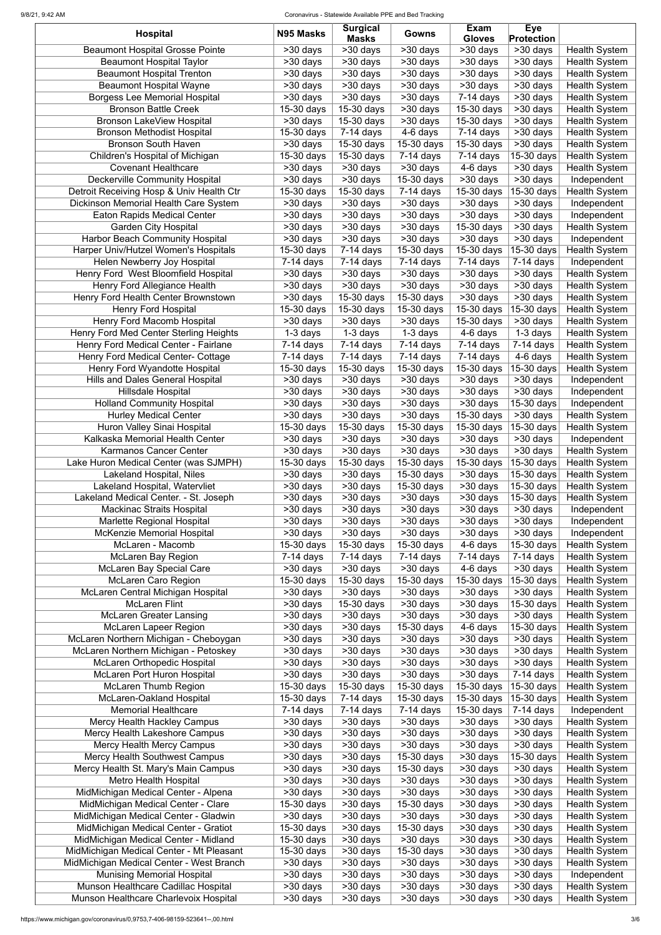#### 9/8/21, 9:42 AM Coronavirus - Statewide Available PPE and Bed Tracking

| <b>Hospital</b>                           | N95 Masks             | <b>Surgical</b><br><b>Masks</b> | Gowns                    | <b>Exam</b><br><b>Gloves</b> | <b>Eye</b><br><b>Protection</b> |                      |
|-------------------------------------------|-----------------------|---------------------------------|--------------------------|------------------------------|---------------------------------|----------------------|
| <b>Beaumont Hospital Grosse Pointe</b>    | $>30$ days            | $\overline{>30}$ days           | >30 days                 | $\overline{>30}$ days        | $\overline{>30}$ days           | <b>Health System</b> |
| <b>Beaumont Hospital Taylor</b>           | >30 days              | >30 days                        | >30 days                 | >30 days                     | $>30$ days                      | <b>Health System</b> |
| <b>Beaumont Hospital Trenton</b>          | >30 days              | >30 days                        | >30 days                 | $>30$ days                   | $>30$ days                      | <b>Health System</b> |
| <b>Beaumont Hospital Wayne</b>            | >30 days              | >30 days                        | >30 days                 | >30 days                     | >30 days                        | <b>Health System</b> |
| <b>Borgess Lee Memorial Hospital</b>      | >30 days              | >30 days                        | >30 days                 | $\overline{7}$ -14 days      | >30 days                        | <b>Health System</b> |
| <b>Bronson Battle Creek</b>               | 15-30 days            | 15-30 days                      | >30 days                 | 15-30 days                   | >30 days                        | <b>Health System</b> |
| <b>Bronson LakeView Hospital</b>          | >30 days              | 15-30 days                      | >30 days                 | 15-30 days                   | >30 days                        | <b>Health System</b> |
| <b>Bronson Methodist Hospital</b>         | 15-30 days            | $7-14$ days                     | 4-6 days                 | $7-14$ days                  | >30 days                        | <b>Health System</b> |
| <b>Bronson South Haven</b>                | >30 days              | 15-30 days                      | 15-30 days               | 15-30 days                   | >30 days                        | <b>Health System</b> |
| Children's Hospital of Michigan           | 15-30 days            | 15-30 days                      | $7-14$ days              | $7-14$ days                  | 15-30 days                      | <b>Health System</b> |
| <b>Covenant Healthcare</b>                | >30 days              | >30 days                        | >30 days                 | 4-6 days                     | >30 days                        | <b>Health System</b> |
| Deckerville Community Hospital            | $>30$ days            | $>30$ days                      | 15-30 days               | >30 days                     | >30 days                        | Independent          |
| Detroit Receiving Hosp & Univ Health Ctr  | 15-30 days            | 15-30 days                      | $7-14$ days              | 15-30 days                   | 15-30 days                      | <b>Health System</b> |
| Dickinson Memorial Health Care System     | >30 days              | >30 days                        | >30 days                 | >30 days                     | >30 days                        | Independent          |
| <b>Eaton Rapids Medical Center</b>        | >30 days              | >30 days                        | >30 days                 | $>30$ days                   | >30 days                        | Independent          |
| <b>Garden City Hospital</b>               | $>30$ days            | >30 days                        | >30 days                 | 15-30 days                   | >30 days                        | <b>Health System</b> |
| <b>Harbor Beach Community Hospital</b>    | >30 days              | >30 days                        | >30 days                 | $>30$ days                   | >30 days                        | Independent          |
| Harper Univ/Hutzel Women's Hospitals      | 15-30 days            | $7-14$ days                     | 15-30 days               | 15-30 days                   | 15-30 days                      | <b>Health System</b> |
| Helen Newberry Joy Hospital               | $7-14$ days           | $7-14$ days                     | $7-14$ days              | $7-14$ days                  | $7-14$ days                     | Independent          |
| Henry Ford West Bloomfield Hospital       | $\overline{>30}$ days | >30 days                        | $>30$ days               | >30 days                     | >30 days                        | <b>Health System</b> |
| Henry Ford Allegiance Health              | >30 days              | >30 days                        | $>30$ days               | $\overline{>}30$ days        | >30 days                        | <b>Health System</b> |
|                                           |                       |                                 |                          |                              |                                 |                      |
| Henry Ford Health Center Brownstown       | >30 days              | 15-30 days                      | 15-30 days               | $\overline{>}30$ days        | >30 days                        | <b>Health System</b> |
| <b>Henry Ford Hospital</b>                | 15-30 days            | 15-30 days                      | 15-30 days               | 15-30 days                   | 15-30 days                      | <b>Health System</b> |
| Henry Ford Macomb Hospital                | >30 days              | $\overline{>30}$ days           | >30 days                 | 15-30 days                   | >30 days                        | <b>Health System</b> |
| Henry Ford Med Center Sterling Heights    | $1-3$ days            | $1-3$ days                      | $1-3$ days               | 4-6 days                     | $1-3$ days                      | <b>Health System</b> |
| Henry Ford Medical Center - Fairlane      | 7-14 days             | $7-14$ days                     | $7-14$ days              | $7-14$ days                  | $7-14$ days                     | <b>Health System</b> |
| <b>Henry Ford Medical Center- Cottage</b> | $7-14$ days           | $7-14$ days                     | $7-14$ days              | $\overline{7}$ -14 days      | 4-6 days                        | <b>Health System</b> |
| Henry Ford Wyandotte Hospital             | 15-30 days            | $\overline{15}$ -30 days        | $\overline{15}$ -30 days | $\overline{15}$ -30 days     | $\vert$ 15-30 days $\vert$      | <b>Health System</b> |
| <b>Hills and Dales General Hospital</b>   | $>30$ days            | >30 days                        | >30 days                 | $>30$ days                   | $\overline{>30}$ days           | Independent          |
| Hillsdale Hospital                        | >30 days              | >30 days                        | >30 days                 | >30 days                     | >30 days                        | Independent          |
| <b>Holland Community Hospital</b>         | $\overline{>}30$ days | >30 days                        | $>30$ days               | >30 days                     | 15-30 days                      | Independent          |
| <b>Hurley Medical Center</b>              | >30 days              | >30 days                        | >30 days                 | 15-30 days                   | >30 days                        | <b>Health System</b> |
| Huron Valley Sinai Hospital               | 15-30 days            | 15-30 days                      | 15-30 days               | 15-30 days                   | 15-30 days                      | <b>Health System</b> |
| Kalkaska Memorial Health Center           | >30 days              | >30 days                        | >30 days                 | >30 days                     | >30 days                        | Independent          |
| Karmanos Cancer Center                    | >30 days              | >30 days                        | >30 days                 | >30 days                     | >30 days                        | <b>Health System</b> |
| Lake Huron Medical Center (was SJMPH)     | $15-30$ days          | 15-30 days                      | 15-30 days               | 15-30 days                   | 15-30 days                      | <b>Health System</b> |
| Lakeland Hospital, Niles                  | >30 days              | >30 days                        | 15-30 days               | >30 days                     | $\overline{15}$ -30 days        | <b>Health System</b> |
| Lakeland Hospital, Watervliet             | >30 days              | >30 days                        | $15-30$ days             | >30 days                     | 15-30 days                      | <b>Health System</b> |
| Lakeland Medical Center. - St. Joseph     | >30 days              | >30 days                        | >30 days                 | >30 days                     | 15-30 days                      | <b>Health System</b> |
| <b>Mackinac Straits Hospital</b>          | >30 days              | >30 days                        | >30 days                 | >30 days                     | >30 days                        | Independent          |
| Marlette Regional Hospital                | >30 days              | >30 days                        | >30 days                 | >30 days                     | >30 days                        | Independent          |
| <b>McKenzie Memorial Hospital</b>         | >30 days              | >30 days                        | >30 days                 | >30 days                     | >30 days                        | Independent          |
| McLaren - Macomb                          | 15-30 days            | 15-30 days                      | 15-30 days               | 4-6 days                     | 15-30 days                      | <b>Health System</b> |
| <b>McLaren Bay Region</b>                 | $7-14$ days           | $7-14$ days                     | $7-14$ days              | $7-14$ days                  | $7-14$ days                     | <b>Health System</b> |
| <b>McLaren Bay Special Care</b>           | >30 days              | >30 days                        | >30 days                 | 4-6 days                     | >30 days                        | <b>Health System</b> |
|                                           |                       |                                 |                          |                              |                                 |                      |
| <b>McLaren Caro Region</b>                | 15-30 days            | 15-30 days                      | 15-30 days               | 15-30 days                   | 15-30 days                      | <b>Health System</b> |
| McLaren Central Michigan Hospital         | >30 days              | >30 days                        | >30 days                 | >30 days                     | >30 days                        | <b>Health System</b> |
| <b>McLaren Flint</b>                      | >30 days              | 15-30 days                      | >30 days                 | >30 days                     | 15-30 days                      | <b>Health System</b> |
| <b>McLaren Greater Lansing</b>            | >30 days              | >30 days                        | >30 days                 | >30 days                     | >30 days                        | <b>Health System</b> |
| <b>McLaren Lapeer Region</b>              | >30 days              | >30 days                        | 15-30 days               | 4-6 days                     | 15-30 days                      | <b>Health System</b> |
| McLaren Northern Michigan - Cheboygan     | >30 days              | $>30$ days                      | >30 days                 | >30 days                     | >30 days                        | <b>Health System</b> |
| McLaren Northern Michigan - Petoskey      | >30 days              | >30 days                        | >30 days                 | >30 days                     | >30 days                        | <b>Health System</b> |
| <b>McLaren Orthopedic Hospital</b>        | >30 days              | >30 days                        | >30 days                 | >30 days                     | $>30$ days                      | <b>Health System</b> |
| McLaren Port Huron Hospital               | >30 days              | >30 days                        | >30 days                 | >30 days                     | $7-14$ days                     | <b>Health System</b> |
| <b>McLaren Thumb Region</b>               | 15-30 days            | 15-30 days                      | 15-30 days               | 15-30 days                   | 15-30 days                      | <b>Health System</b> |
| McLaren-Oakland Hospital                  | 15-30 days            | $7-14$ days                     | 15-30 days               | 15-30 days                   | 15-30 days                      | <b>Health System</b> |
| <b>Memorial Healthcare</b>                | $7-14$ days           | $7-14$ days                     | $7-14$ days              | 15-30 days                   | $\overline{7-14}$ days          | Independent          |
| Mercy Health Hackley Campus               | >30 days              | $>30$ days                      | >30 days                 | $\overline{>}30$ days        | >30 days                        | <b>Health System</b> |
| Mercy Health Lakeshore Campus             | >30 days              | $>30$ days                      | >30 days                 | >30 days                     | >30 days                        | <b>Health System</b> |
| <b>Mercy Health Mercy Campus</b>          | $>30$ days            | $\overline{>}30$ days           | >30 days                 | >30 days                     | >30 days                        | <b>Health System</b> |
| <b>Mercy Health Southwest Campus</b>      | >30 days              | >30 days                        | 15-30 days               | >30 days                     | $ 15$ -30 days $ $              | <b>Health System</b> |
| Mercy Health St. Mary's Main Campus       | >30 days              | >30 days                        | 15-30 days               | >30 days                     | >30 days                        | <b>Health System</b> |
| <b>Metro Health Hospital</b>              | >30 days              | >30 days                        | >30 days                 | >30 days                     | >30 days                        | <b>Health System</b> |
| MidMichigan Medical Center - Alpena       | >30 days              | >30 days                        | >30 days                 | >30 days                     | >30 days                        | <b>Health System</b> |
| MidMichigan Medical Center - Clare        | 15-30 days            | >30 days                        | 15-30 days               | >30 days                     | >30 days                        | <b>Health System</b> |
| MidMichigan Medical Center - Gladwin      | >30 days              | >30 days                        | >30 days                 | >30 days                     | >30 days                        | <b>Health System</b> |
| MidMichigan Medical Center - Gratiot      | 15-30 days            | >30 days                        | 15-30 days               | >30 days                     | >30 days                        | <b>Health System</b> |
| MidMichigan Medical Center - Midland      | $15-30$ days          | >30 days                        | >30 days                 | >30 days                     | >30 days                        | <b>Health System</b> |
|                                           |                       |                                 |                          |                              |                                 |                      |
| MidMichigan Medical Center - Mt Pleasant  | $15-30$ days          | >30 days                        | 15-30 days               | >30 days                     | >30 days                        | <b>Health System</b> |
| MidMichigan Medical Center - West Branch  | >30 days              | >30 days                        | $>30$ days               | >30 days                     | >30 days                        | <b>Health System</b> |
| <b>Munising Memorial Hospital</b>         | >30 days              | >30 days                        | >30 days                 | >30 days                     | >30 days                        | Independent          |
| Munson Healthcare Cadillac Hospital       | >30 days              | >30 days                        | >30 days                 | >30 days                     | >30 days                        | <b>Health System</b> |
| Munson Healthcare Charlevoix Hospital     | >30 days              | >30 days                        | >30 days                 | >30 days                     | >30 days                        | <b>Health System</b> |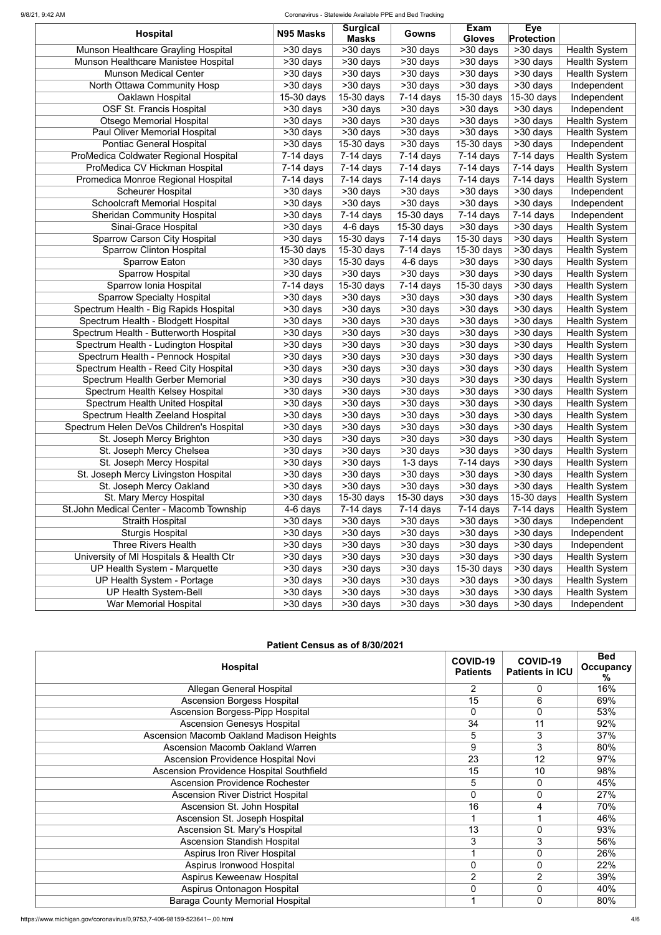#### 9/8/21, 9:42 AM Coronavirus - Statewide Available PPE and Bed Tracking

| <b>Masks</b><br><b>Gloves</b><br><b>Protection</b><br>Munson Healthcare Grayling Hospital<br>$\overline{>30}$ days<br>>30 days<br>>30 days<br>$\overline{>30}$ days<br><b>Health System</b><br>>30 days<br>Munson Healthcare Manistee Hospital<br>>30 days<br>>30 days<br>>30 days<br>>30 days<br>>30 days<br><b>Health System</b><br><b>Munson Medical Center</b><br>>30 days<br>>30 days<br>>30 days<br>>30 days<br>>30 days<br><b>Health System</b><br>North Ottawa Community Hosp<br>Independent<br>>30 days<br>$>30$ days<br>>30 days<br>$>30$ days<br>>30 days<br>Oaklawn Hospital<br>15-30 days<br>15-30 days<br>$7-14$ days<br>15-30 days<br>15-30 days<br>Independent<br><b>OSF St. Francis Hospital</b><br>>30 days<br>>30 days<br>>30 days<br>>30 days<br>$>30$ days<br>Independent<br><b>Otsego Memorial Hospital</b><br>>30 days<br>$>30$ days<br>$>30$ days<br><b>Health System</b><br>$>30$ days<br>>30 days<br>Paul Oliver Memorial Hospital<br><b>Health System</b><br>>30 days<br>>30 days<br>$>30$ days<br>>30 days<br>$>30$ days<br><b>Pontiac General Hospital</b><br>15-30 days<br>>30 days<br>15-30 days<br>>30 days<br>>30 days<br>Independent<br>ProMedica Coldwater Regional Hospital<br>$7-14$ days<br>$7-14$ days<br>$7-14$ days<br>$7-14$ days<br>$7-14$ days<br><b>Health System</b><br>ProMedica CV Hickman Hospital<br>$\overline{7}$ -14 days<br>$7-14$ days<br>$7-14$ days<br>$7-14$ days<br>$7-14$ days<br><b>Health System</b><br>Promedica Monroe Regional Hospital<br><b>Health System</b><br>$7-14$ days<br>$7-14$ days<br>$7-14$ days<br>$7-14$ days<br>$7-14$ days<br><b>Scheurer Hospital</b><br>>30 days<br>>30 days<br>>30 days<br>>30 days<br>>30 days<br>Independent<br><b>Schoolcraft Memorial Hospital</b><br>$>30$ days<br>>30 days<br>>30 days<br>>30 days<br>$>30$ days<br>Independent<br><b>Sheridan Community Hospital</b><br>$7-14$ days<br>15-30 days<br>$7-14$ days<br>$7-14$ days<br>Independent<br>>30 days<br>Sinai-Grace Hospital<br>$4-6$ days<br>15-30 days<br>>30 days<br><b>Health System</b><br>>30 days<br>>30 days<br><b>Sparrow Carson City Hospital</b><br>15-30 days<br>15-30 days<br>>30 days<br><b>Health System</b><br>>30 days<br>$7-14$ days<br>Sparrow Clinton Hospital<br><b>Health System</b><br>15-30 days<br>15-30 days<br>$7-14$ days<br>15-30 days<br>>30 days<br><b>Sparrow Eaton</b><br>15-30 days<br>$>30$ days<br>>30 days<br><b>Health System</b><br>>30 days<br>4-6 days<br><b>Sparrow Hospital</b><br><b>Health System</b><br>$\overline{>30}$ days<br>$\overline{>30}$ days<br>$>30$ days<br>$>30$ days<br>>30 days<br>Sparrow Ionia Hospital<br>15-30 days<br>15-30 days<br>>30 days<br><b>Health System</b><br>$\overline{7}$ -14 days<br>$7-14$ days<br><b>Sparrow Specialty Hospital</b><br><b>Health System</b><br>>30 days<br>>30 days<br>$\overline{>30}$ days<br>$>30$ days<br>>30 days<br>Spectrum Health - Big Rapids Hospital<br>$>30$ days<br>>30 days<br>>30 days<br>>30 days<br>>30 days<br><b>Health System</b><br>Spectrum Health - Blodgett Hospital<br><b>Health System</b><br>>30 days<br>$>30$ days<br>>30 days<br>>30 days<br>>30 days<br>Spectrum Health - Butterworth Hospital<br>$\overline{>30}$ days<br><b>Health System</b><br>$>30$ days<br>>30 days<br>>30 days<br>>30 days<br><b>Health System</b><br>Spectrum Health - Ludington Hospital<br>$\overline{>30}$ days<br>$\overline{>30}$ days<br>$>30$ days<br>$>30$ days<br>>30 days<br>Spectrum Health - Pennock Hospital<br>$\overline{>30}$ days<br><b>Health System</b><br>$\overline{>30}$ days<br>>30 days<br>>30 days<br>>30 days<br><b>Health System</b><br>Spectrum Health - Reed City Hospital<br>$\overline{>}30$ days<br>$\overline{>30}$ days<br>$\overline{>}30$ days<br>$>30$ days<br>>30 days<br>Spectrum Health Gerber Memorial<br>$>30$ days<br><b>Health System</b><br>>30 days<br>>30 days<br>>30 days<br>>30 days<br>Spectrum Health Kelsey Hospital<br><b>Health System</b><br>>30 days<br>>30 days<br>>30 days<br>>30 days<br>>30 days<br><b>Spectrum Health United Hospital</b><br>>30 days<br>>30 days<br>>30 days<br>$>30$ days<br><b>Health System</b><br>>30 days<br>Spectrum Health Zeeland Hospital<br><b>Health System</b><br>>30 days<br>>30 days<br>>30 days<br>>30 days<br>>30 days<br>Spectrum Helen DeVos Children's Hospital<br>>30 days<br>>30 days<br>>30 days<br>>30 days<br>>30 days<br><b>Health System</b><br><b>Health System</b><br>St. Joseph Mercy Brighton<br>>30 days<br>>30 days<br>>30 days<br>>30 days<br>>30 days<br>$>30$ days<br>St. Joseph Mercy Chelsea<br>>30 days<br>>30 days<br>>30 days<br>>30 days<br><b>Health System</b><br>St. Joseph Mercy Hospital<br><b>Health System</b><br>>30 days<br>>30 days<br>$1-3$ days<br>$7-14$ days<br>>30 days<br>St. Joseph Mercy Livingston Hospital<br>>30 days<br>>30 days<br>>30 days<br>>30 days<br><b>Health System</b><br>>30 days<br><b>Health System</b><br>St. Joseph Mercy Oakland<br>>30 days<br>>30 days<br>>30 days<br>>30 days<br>>30 days<br>St. Mary Mercy Hospital<br>15-30 days<br>15-30 days<br>>30 days<br>15-30 days<br><b>Health System</b><br>>30 days<br>St.John Medical Center - Macomb Township<br><b>Health System</b><br>4-6 days<br>$7-14$ days<br>$7-14$ days<br>$7-14$ days<br>$7-14$ days<br><b>Straith Hospital</b><br>>30 days<br>>30 days<br>>30 days<br>>30 days<br>>30 days<br>Independent<br><b>Sturgis Hospital</b><br>Independent<br>>30 days<br>>30 days<br>>30 days<br>>30 days<br>>30 days<br><b>Three Rivers Health</b><br>>30 days<br>>30 days<br>>30 days<br>>30 days<br>>30 days<br>Independent<br>University of MI Hospitals & Health Ctr<br><b>Health System</b><br>>30 days<br>>30 days<br>>30 days<br>>30 days<br>>30 days<br><b>UP Health System - Marquette</b><br>>30 days<br>>30 days<br>15-30 days<br>>30 days<br><b>Health System</b><br>>30 days<br>UP Health System - Portage<br><b>Health System</b><br>>30 days<br>>30 days<br>>30 days<br>>30 days<br>>30 days<br><b>UP Health System-Bell</b><br>>30 days<br>>30 days<br>>30 days<br>>30 days<br><b>Health System</b><br>>30 days<br>>30 days<br>>30 days |                              | N95 Masks | <b>Surgical</b> |          | <b>Exam</b> | <b>Eye</b> |             |
|----------------------------------------------------------------------------------------------------------------------------------------------------------------------------------------------------------------------------------------------------------------------------------------------------------------------------------------------------------------------------------------------------------------------------------------------------------------------------------------------------------------------------------------------------------------------------------------------------------------------------------------------------------------------------------------------------------------------------------------------------------------------------------------------------------------------------------------------------------------------------------------------------------------------------------------------------------------------------------------------------------------------------------------------------------------------------------------------------------------------------------------------------------------------------------------------------------------------------------------------------------------------------------------------------------------------------------------------------------------------------------------------------------------------------------------------------------------------------------------------------------------------------------------------------------------------------------------------------------------------------------------------------------------------------------------------------------------------------------------------------------------------------------------------------------------------------------------------------------------------------------------------------------------------------------------------------------------------------------------------------------------------------------------------------------------------------------------------------------------------------------------------------------------------------------------------------------------------------------------------------------------------------------------------------------------------------------------------------------------------------------------------------------------------------------------------------------------------------------------------------------------------------------------------------------------------------------------------------------------------------------------------------------------------------------------------------------------------------------------------------------------------------------------------------------------------------------------------------------------------------------------------------------------------------------------------------------------------------------------------------------------------------------------------------------------------------------------------------------------------------------------------------------------------------------------------------------------------------------------------------------------------------------------------------------------------------------------------------------------------------------------------------------------------------------------------------------------------------------------------------------------------------------------------------------------------------------------------------------------------------------------------------------------------------------------------------------------------------------------------------------------------------------------------------------------------------------------------------------------------------------------------------------------------------------------------------------------------------------------------------------------------------------------------------------------------------------------------------------------------------------------------------------------------------------------------------------------------------------------------------------------------------------------------------------------------------------------------------------------------------------------------------------------------------------------------------------------------------------------------------------------------------------------------------------------------------------------------------------------------------------------------------------------------------------------------------------------------------------------------------------------------------------------------------------------------------------------------------------------------------------------------------------------------------------------------------------------------------------------------------------------------------------------------------------------------------------------------------------------------------------------------------------------------------------------------------------------------------------------------------------------------------------------------------------------------------------------------------------------------------------------------------------------------------------------------------------------------------------------------------------------------------------------------------------------------------------------------------------------------------------------------------------------------------------------------------------------------------------------------------------------------------------------------------------------------------------------------------------------------------------------------------------------------------------------------------------------------------------------------------------------------------------------------------------------------------------------------------------------------------------------------------|------------------------------|-----------|-----------------|----------|-------------|------------|-------------|
|                                                                                                                                                                                                                                                                                                                                                                                                                                                                                                                                                                                                                                                                                                                                                                                                                                                                                                                                                                                                                                                                                                                                                                                                                                                                                                                                                                                                                                                                                                                                                                                                                                                                                                                                                                                                                                                                                                                                                                                                                                                                                                                                                                                                                                                                                                                                                                                                                                                                                                                                                                                                                                                                                                                                                                                                                                                                                                                                                                                                                                                                                                                                                                                                                                                                                                                                                                                                                                                                                                                                                                                                                                                                                                                                                                                                                                                                                                                                                                                                                                                                                                                                                                                                                                                                                                                                                                                                                                                                                                                                                                                                                                                                                                                                                                                                                                                                                                                                                                                                                                                                                                                                                                                                                                                                                                                                                                                                                                                                                                                                                                                                                                                                                                                                                                                                                                                                                                                                                                                                                                                                                                                                                    | <b>Hospital</b>              |           |                 | Gowns    |             |            |             |
|                                                                                                                                                                                                                                                                                                                                                                                                                                                                                                                                                                                                                                                                                                                                                                                                                                                                                                                                                                                                                                                                                                                                                                                                                                                                                                                                                                                                                                                                                                                                                                                                                                                                                                                                                                                                                                                                                                                                                                                                                                                                                                                                                                                                                                                                                                                                                                                                                                                                                                                                                                                                                                                                                                                                                                                                                                                                                                                                                                                                                                                                                                                                                                                                                                                                                                                                                                                                                                                                                                                                                                                                                                                                                                                                                                                                                                                                                                                                                                                                                                                                                                                                                                                                                                                                                                                                                                                                                                                                                                                                                                                                                                                                                                                                                                                                                                                                                                                                                                                                                                                                                                                                                                                                                                                                                                                                                                                                                                                                                                                                                                                                                                                                                                                                                                                                                                                                                                                                                                                                                                                                                                                                                    |                              |           |                 |          |             |            |             |
|                                                                                                                                                                                                                                                                                                                                                                                                                                                                                                                                                                                                                                                                                                                                                                                                                                                                                                                                                                                                                                                                                                                                                                                                                                                                                                                                                                                                                                                                                                                                                                                                                                                                                                                                                                                                                                                                                                                                                                                                                                                                                                                                                                                                                                                                                                                                                                                                                                                                                                                                                                                                                                                                                                                                                                                                                                                                                                                                                                                                                                                                                                                                                                                                                                                                                                                                                                                                                                                                                                                                                                                                                                                                                                                                                                                                                                                                                                                                                                                                                                                                                                                                                                                                                                                                                                                                                                                                                                                                                                                                                                                                                                                                                                                                                                                                                                                                                                                                                                                                                                                                                                                                                                                                                                                                                                                                                                                                                                                                                                                                                                                                                                                                                                                                                                                                                                                                                                                                                                                                                                                                                                                                                    |                              |           |                 |          |             |            |             |
|                                                                                                                                                                                                                                                                                                                                                                                                                                                                                                                                                                                                                                                                                                                                                                                                                                                                                                                                                                                                                                                                                                                                                                                                                                                                                                                                                                                                                                                                                                                                                                                                                                                                                                                                                                                                                                                                                                                                                                                                                                                                                                                                                                                                                                                                                                                                                                                                                                                                                                                                                                                                                                                                                                                                                                                                                                                                                                                                                                                                                                                                                                                                                                                                                                                                                                                                                                                                                                                                                                                                                                                                                                                                                                                                                                                                                                                                                                                                                                                                                                                                                                                                                                                                                                                                                                                                                                                                                                                                                                                                                                                                                                                                                                                                                                                                                                                                                                                                                                                                                                                                                                                                                                                                                                                                                                                                                                                                                                                                                                                                                                                                                                                                                                                                                                                                                                                                                                                                                                                                                                                                                                                                                    |                              |           |                 |          |             |            |             |
|                                                                                                                                                                                                                                                                                                                                                                                                                                                                                                                                                                                                                                                                                                                                                                                                                                                                                                                                                                                                                                                                                                                                                                                                                                                                                                                                                                                                                                                                                                                                                                                                                                                                                                                                                                                                                                                                                                                                                                                                                                                                                                                                                                                                                                                                                                                                                                                                                                                                                                                                                                                                                                                                                                                                                                                                                                                                                                                                                                                                                                                                                                                                                                                                                                                                                                                                                                                                                                                                                                                                                                                                                                                                                                                                                                                                                                                                                                                                                                                                                                                                                                                                                                                                                                                                                                                                                                                                                                                                                                                                                                                                                                                                                                                                                                                                                                                                                                                                                                                                                                                                                                                                                                                                                                                                                                                                                                                                                                                                                                                                                                                                                                                                                                                                                                                                                                                                                                                                                                                                                                                                                                                                                    |                              |           |                 |          |             |            |             |
|                                                                                                                                                                                                                                                                                                                                                                                                                                                                                                                                                                                                                                                                                                                                                                                                                                                                                                                                                                                                                                                                                                                                                                                                                                                                                                                                                                                                                                                                                                                                                                                                                                                                                                                                                                                                                                                                                                                                                                                                                                                                                                                                                                                                                                                                                                                                                                                                                                                                                                                                                                                                                                                                                                                                                                                                                                                                                                                                                                                                                                                                                                                                                                                                                                                                                                                                                                                                                                                                                                                                                                                                                                                                                                                                                                                                                                                                                                                                                                                                                                                                                                                                                                                                                                                                                                                                                                                                                                                                                                                                                                                                                                                                                                                                                                                                                                                                                                                                                                                                                                                                                                                                                                                                                                                                                                                                                                                                                                                                                                                                                                                                                                                                                                                                                                                                                                                                                                                                                                                                                                                                                                                                                    |                              |           |                 |          |             |            |             |
|                                                                                                                                                                                                                                                                                                                                                                                                                                                                                                                                                                                                                                                                                                                                                                                                                                                                                                                                                                                                                                                                                                                                                                                                                                                                                                                                                                                                                                                                                                                                                                                                                                                                                                                                                                                                                                                                                                                                                                                                                                                                                                                                                                                                                                                                                                                                                                                                                                                                                                                                                                                                                                                                                                                                                                                                                                                                                                                                                                                                                                                                                                                                                                                                                                                                                                                                                                                                                                                                                                                                                                                                                                                                                                                                                                                                                                                                                                                                                                                                                                                                                                                                                                                                                                                                                                                                                                                                                                                                                                                                                                                                                                                                                                                                                                                                                                                                                                                                                                                                                                                                                                                                                                                                                                                                                                                                                                                                                                                                                                                                                                                                                                                                                                                                                                                                                                                                                                                                                                                                                                                                                                                                                    |                              |           |                 |          |             |            |             |
|                                                                                                                                                                                                                                                                                                                                                                                                                                                                                                                                                                                                                                                                                                                                                                                                                                                                                                                                                                                                                                                                                                                                                                                                                                                                                                                                                                                                                                                                                                                                                                                                                                                                                                                                                                                                                                                                                                                                                                                                                                                                                                                                                                                                                                                                                                                                                                                                                                                                                                                                                                                                                                                                                                                                                                                                                                                                                                                                                                                                                                                                                                                                                                                                                                                                                                                                                                                                                                                                                                                                                                                                                                                                                                                                                                                                                                                                                                                                                                                                                                                                                                                                                                                                                                                                                                                                                                                                                                                                                                                                                                                                                                                                                                                                                                                                                                                                                                                                                                                                                                                                                                                                                                                                                                                                                                                                                                                                                                                                                                                                                                                                                                                                                                                                                                                                                                                                                                                                                                                                                                                                                                                                                    |                              |           |                 |          |             |            |             |
|                                                                                                                                                                                                                                                                                                                                                                                                                                                                                                                                                                                                                                                                                                                                                                                                                                                                                                                                                                                                                                                                                                                                                                                                                                                                                                                                                                                                                                                                                                                                                                                                                                                                                                                                                                                                                                                                                                                                                                                                                                                                                                                                                                                                                                                                                                                                                                                                                                                                                                                                                                                                                                                                                                                                                                                                                                                                                                                                                                                                                                                                                                                                                                                                                                                                                                                                                                                                                                                                                                                                                                                                                                                                                                                                                                                                                                                                                                                                                                                                                                                                                                                                                                                                                                                                                                                                                                                                                                                                                                                                                                                                                                                                                                                                                                                                                                                                                                                                                                                                                                                                                                                                                                                                                                                                                                                                                                                                                                                                                                                                                                                                                                                                                                                                                                                                                                                                                                                                                                                                                                                                                                                                                    |                              |           |                 |          |             |            |             |
|                                                                                                                                                                                                                                                                                                                                                                                                                                                                                                                                                                                                                                                                                                                                                                                                                                                                                                                                                                                                                                                                                                                                                                                                                                                                                                                                                                                                                                                                                                                                                                                                                                                                                                                                                                                                                                                                                                                                                                                                                                                                                                                                                                                                                                                                                                                                                                                                                                                                                                                                                                                                                                                                                                                                                                                                                                                                                                                                                                                                                                                                                                                                                                                                                                                                                                                                                                                                                                                                                                                                                                                                                                                                                                                                                                                                                                                                                                                                                                                                                                                                                                                                                                                                                                                                                                                                                                                                                                                                                                                                                                                                                                                                                                                                                                                                                                                                                                                                                                                                                                                                                                                                                                                                                                                                                                                                                                                                                                                                                                                                                                                                                                                                                                                                                                                                                                                                                                                                                                                                                                                                                                                                                    |                              |           |                 |          |             |            |             |
|                                                                                                                                                                                                                                                                                                                                                                                                                                                                                                                                                                                                                                                                                                                                                                                                                                                                                                                                                                                                                                                                                                                                                                                                                                                                                                                                                                                                                                                                                                                                                                                                                                                                                                                                                                                                                                                                                                                                                                                                                                                                                                                                                                                                                                                                                                                                                                                                                                                                                                                                                                                                                                                                                                                                                                                                                                                                                                                                                                                                                                                                                                                                                                                                                                                                                                                                                                                                                                                                                                                                                                                                                                                                                                                                                                                                                                                                                                                                                                                                                                                                                                                                                                                                                                                                                                                                                                                                                                                                                                                                                                                                                                                                                                                                                                                                                                                                                                                                                                                                                                                                                                                                                                                                                                                                                                                                                                                                                                                                                                                                                                                                                                                                                                                                                                                                                                                                                                                                                                                                                                                                                                                                                    |                              |           |                 |          |             |            |             |
|                                                                                                                                                                                                                                                                                                                                                                                                                                                                                                                                                                                                                                                                                                                                                                                                                                                                                                                                                                                                                                                                                                                                                                                                                                                                                                                                                                                                                                                                                                                                                                                                                                                                                                                                                                                                                                                                                                                                                                                                                                                                                                                                                                                                                                                                                                                                                                                                                                                                                                                                                                                                                                                                                                                                                                                                                                                                                                                                                                                                                                                                                                                                                                                                                                                                                                                                                                                                                                                                                                                                                                                                                                                                                                                                                                                                                                                                                                                                                                                                                                                                                                                                                                                                                                                                                                                                                                                                                                                                                                                                                                                                                                                                                                                                                                                                                                                                                                                                                                                                                                                                                                                                                                                                                                                                                                                                                                                                                                                                                                                                                                                                                                                                                                                                                                                                                                                                                                                                                                                                                                                                                                                                                    |                              |           |                 |          |             |            |             |
|                                                                                                                                                                                                                                                                                                                                                                                                                                                                                                                                                                                                                                                                                                                                                                                                                                                                                                                                                                                                                                                                                                                                                                                                                                                                                                                                                                                                                                                                                                                                                                                                                                                                                                                                                                                                                                                                                                                                                                                                                                                                                                                                                                                                                                                                                                                                                                                                                                                                                                                                                                                                                                                                                                                                                                                                                                                                                                                                                                                                                                                                                                                                                                                                                                                                                                                                                                                                                                                                                                                                                                                                                                                                                                                                                                                                                                                                                                                                                                                                                                                                                                                                                                                                                                                                                                                                                                                                                                                                                                                                                                                                                                                                                                                                                                                                                                                                                                                                                                                                                                                                                                                                                                                                                                                                                                                                                                                                                                                                                                                                                                                                                                                                                                                                                                                                                                                                                                                                                                                                                                                                                                                                                    |                              |           |                 |          |             |            |             |
|                                                                                                                                                                                                                                                                                                                                                                                                                                                                                                                                                                                                                                                                                                                                                                                                                                                                                                                                                                                                                                                                                                                                                                                                                                                                                                                                                                                                                                                                                                                                                                                                                                                                                                                                                                                                                                                                                                                                                                                                                                                                                                                                                                                                                                                                                                                                                                                                                                                                                                                                                                                                                                                                                                                                                                                                                                                                                                                                                                                                                                                                                                                                                                                                                                                                                                                                                                                                                                                                                                                                                                                                                                                                                                                                                                                                                                                                                                                                                                                                                                                                                                                                                                                                                                                                                                                                                                                                                                                                                                                                                                                                                                                                                                                                                                                                                                                                                                                                                                                                                                                                                                                                                                                                                                                                                                                                                                                                                                                                                                                                                                                                                                                                                                                                                                                                                                                                                                                                                                                                                                                                                                                                                    |                              |           |                 |          |             |            |             |
|                                                                                                                                                                                                                                                                                                                                                                                                                                                                                                                                                                                                                                                                                                                                                                                                                                                                                                                                                                                                                                                                                                                                                                                                                                                                                                                                                                                                                                                                                                                                                                                                                                                                                                                                                                                                                                                                                                                                                                                                                                                                                                                                                                                                                                                                                                                                                                                                                                                                                                                                                                                                                                                                                                                                                                                                                                                                                                                                                                                                                                                                                                                                                                                                                                                                                                                                                                                                                                                                                                                                                                                                                                                                                                                                                                                                                                                                                                                                                                                                                                                                                                                                                                                                                                                                                                                                                                                                                                                                                                                                                                                                                                                                                                                                                                                                                                                                                                                                                                                                                                                                                                                                                                                                                                                                                                                                                                                                                                                                                                                                                                                                                                                                                                                                                                                                                                                                                                                                                                                                                                                                                                                                                    |                              |           |                 |          |             |            |             |
|                                                                                                                                                                                                                                                                                                                                                                                                                                                                                                                                                                                                                                                                                                                                                                                                                                                                                                                                                                                                                                                                                                                                                                                                                                                                                                                                                                                                                                                                                                                                                                                                                                                                                                                                                                                                                                                                                                                                                                                                                                                                                                                                                                                                                                                                                                                                                                                                                                                                                                                                                                                                                                                                                                                                                                                                                                                                                                                                                                                                                                                                                                                                                                                                                                                                                                                                                                                                                                                                                                                                                                                                                                                                                                                                                                                                                                                                                                                                                                                                                                                                                                                                                                                                                                                                                                                                                                                                                                                                                                                                                                                                                                                                                                                                                                                                                                                                                                                                                                                                                                                                                                                                                                                                                                                                                                                                                                                                                                                                                                                                                                                                                                                                                                                                                                                                                                                                                                                                                                                                                                                                                                                                                    |                              |           |                 |          |             |            |             |
|                                                                                                                                                                                                                                                                                                                                                                                                                                                                                                                                                                                                                                                                                                                                                                                                                                                                                                                                                                                                                                                                                                                                                                                                                                                                                                                                                                                                                                                                                                                                                                                                                                                                                                                                                                                                                                                                                                                                                                                                                                                                                                                                                                                                                                                                                                                                                                                                                                                                                                                                                                                                                                                                                                                                                                                                                                                                                                                                                                                                                                                                                                                                                                                                                                                                                                                                                                                                                                                                                                                                                                                                                                                                                                                                                                                                                                                                                                                                                                                                                                                                                                                                                                                                                                                                                                                                                                                                                                                                                                                                                                                                                                                                                                                                                                                                                                                                                                                                                                                                                                                                                                                                                                                                                                                                                                                                                                                                                                                                                                                                                                                                                                                                                                                                                                                                                                                                                                                                                                                                                                                                                                                                                    |                              |           |                 |          |             |            |             |
|                                                                                                                                                                                                                                                                                                                                                                                                                                                                                                                                                                                                                                                                                                                                                                                                                                                                                                                                                                                                                                                                                                                                                                                                                                                                                                                                                                                                                                                                                                                                                                                                                                                                                                                                                                                                                                                                                                                                                                                                                                                                                                                                                                                                                                                                                                                                                                                                                                                                                                                                                                                                                                                                                                                                                                                                                                                                                                                                                                                                                                                                                                                                                                                                                                                                                                                                                                                                                                                                                                                                                                                                                                                                                                                                                                                                                                                                                                                                                                                                                                                                                                                                                                                                                                                                                                                                                                                                                                                                                                                                                                                                                                                                                                                                                                                                                                                                                                                                                                                                                                                                                                                                                                                                                                                                                                                                                                                                                                                                                                                                                                                                                                                                                                                                                                                                                                                                                                                                                                                                                                                                                                                                                    |                              |           |                 |          |             |            |             |
|                                                                                                                                                                                                                                                                                                                                                                                                                                                                                                                                                                                                                                                                                                                                                                                                                                                                                                                                                                                                                                                                                                                                                                                                                                                                                                                                                                                                                                                                                                                                                                                                                                                                                                                                                                                                                                                                                                                                                                                                                                                                                                                                                                                                                                                                                                                                                                                                                                                                                                                                                                                                                                                                                                                                                                                                                                                                                                                                                                                                                                                                                                                                                                                                                                                                                                                                                                                                                                                                                                                                                                                                                                                                                                                                                                                                                                                                                                                                                                                                                                                                                                                                                                                                                                                                                                                                                                                                                                                                                                                                                                                                                                                                                                                                                                                                                                                                                                                                                                                                                                                                                                                                                                                                                                                                                                                                                                                                                                                                                                                                                                                                                                                                                                                                                                                                                                                                                                                                                                                                                                                                                                                                                    |                              |           |                 |          |             |            |             |
|                                                                                                                                                                                                                                                                                                                                                                                                                                                                                                                                                                                                                                                                                                                                                                                                                                                                                                                                                                                                                                                                                                                                                                                                                                                                                                                                                                                                                                                                                                                                                                                                                                                                                                                                                                                                                                                                                                                                                                                                                                                                                                                                                                                                                                                                                                                                                                                                                                                                                                                                                                                                                                                                                                                                                                                                                                                                                                                                                                                                                                                                                                                                                                                                                                                                                                                                                                                                                                                                                                                                                                                                                                                                                                                                                                                                                                                                                                                                                                                                                                                                                                                                                                                                                                                                                                                                                                                                                                                                                                                                                                                                                                                                                                                                                                                                                                                                                                                                                                                                                                                                                                                                                                                                                                                                                                                                                                                                                                                                                                                                                                                                                                                                                                                                                                                                                                                                                                                                                                                                                                                                                                                                                    |                              |           |                 |          |             |            |             |
|                                                                                                                                                                                                                                                                                                                                                                                                                                                                                                                                                                                                                                                                                                                                                                                                                                                                                                                                                                                                                                                                                                                                                                                                                                                                                                                                                                                                                                                                                                                                                                                                                                                                                                                                                                                                                                                                                                                                                                                                                                                                                                                                                                                                                                                                                                                                                                                                                                                                                                                                                                                                                                                                                                                                                                                                                                                                                                                                                                                                                                                                                                                                                                                                                                                                                                                                                                                                                                                                                                                                                                                                                                                                                                                                                                                                                                                                                                                                                                                                                                                                                                                                                                                                                                                                                                                                                                                                                                                                                                                                                                                                                                                                                                                                                                                                                                                                                                                                                                                                                                                                                                                                                                                                                                                                                                                                                                                                                                                                                                                                                                                                                                                                                                                                                                                                                                                                                                                                                                                                                                                                                                                                                    |                              |           |                 |          |             |            |             |
|                                                                                                                                                                                                                                                                                                                                                                                                                                                                                                                                                                                                                                                                                                                                                                                                                                                                                                                                                                                                                                                                                                                                                                                                                                                                                                                                                                                                                                                                                                                                                                                                                                                                                                                                                                                                                                                                                                                                                                                                                                                                                                                                                                                                                                                                                                                                                                                                                                                                                                                                                                                                                                                                                                                                                                                                                                                                                                                                                                                                                                                                                                                                                                                                                                                                                                                                                                                                                                                                                                                                                                                                                                                                                                                                                                                                                                                                                                                                                                                                                                                                                                                                                                                                                                                                                                                                                                                                                                                                                                                                                                                                                                                                                                                                                                                                                                                                                                                                                                                                                                                                                                                                                                                                                                                                                                                                                                                                                                                                                                                                                                                                                                                                                                                                                                                                                                                                                                                                                                                                                                                                                                                                                    |                              |           |                 |          |             |            |             |
|                                                                                                                                                                                                                                                                                                                                                                                                                                                                                                                                                                                                                                                                                                                                                                                                                                                                                                                                                                                                                                                                                                                                                                                                                                                                                                                                                                                                                                                                                                                                                                                                                                                                                                                                                                                                                                                                                                                                                                                                                                                                                                                                                                                                                                                                                                                                                                                                                                                                                                                                                                                                                                                                                                                                                                                                                                                                                                                                                                                                                                                                                                                                                                                                                                                                                                                                                                                                                                                                                                                                                                                                                                                                                                                                                                                                                                                                                                                                                                                                                                                                                                                                                                                                                                                                                                                                                                                                                                                                                                                                                                                                                                                                                                                                                                                                                                                                                                                                                                                                                                                                                                                                                                                                                                                                                                                                                                                                                                                                                                                                                                                                                                                                                                                                                                                                                                                                                                                                                                                                                                                                                                                                                    |                              |           |                 |          |             |            |             |
|                                                                                                                                                                                                                                                                                                                                                                                                                                                                                                                                                                                                                                                                                                                                                                                                                                                                                                                                                                                                                                                                                                                                                                                                                                                                                                                                                                                                                                                                                                                                                                                                                                                                                                                                                                                                                                                                                                                                                                                                                                                                                                                                                                                                                                                                                                                                                                                                                                                                                                                                                                                                                                                                                                                                                                                                                                                                                                                                                                                                                                                                                                                                                                                                                                                                                                                                                                                                                                                                                                                                                                                                                                                                                                                                                                                                                                                                                                                                                                                                                                                                                                                                                                                                                                                                                                                                                                                                                                                                                                                                                                                                                                                                                                                                                                                                                                                                                                                                                                                                                                                                                                                                                                                                                                                                                                                                                                                                                                                                                                                                                                                                                                                                                                                                                                                                                                                                                                                                                                                                                                                                                                                                                    |                              |           |                 |          |             |            |             |
|                                                                                                                                                                                                                                                                                                                                                                                                                                                                                                                                                                                                                                                                                                                                                                                                                                                                                                                                                                                                                                                                                                                                                                                                                                                                                                                                                                                                                                                                                                                                                                                                                                                                                                                                                                                                                                                                                                                                                                                                                                                                                                                                                                                                                                                                                                                                                                                                                                                                                                                                                                                                                                                                                                                                                                                                                                                                                                                                                                                                                                                                                                                                                                                                                                                                                                                                                                                                                                                                                                                                                                                                                                                                                                                                                                                                                                                                                                                                                                                                                                                                                                                                                                                                                                                                                                                                                                                                                                                                                                                                                                                                                                                                                                                                                                                                                                                                                                                                                                                                                                                                                                                                                                                                                                                                                                                                                                                                                                                                                                                                                                                                                                                                                                                                                                                                                                                                                                                                                                                                                                                                                                                                                    |                              |           |                 |          |             |            |             |
|                                                                                                                                                                                                                                                                                                                                                                                                                                                                                                                                                                                                                                                                                                                                                                                                                                                                                                                                                                                                                                                                                                                                                                                                                                                                                                                                                                                                                                                                                                                                                                                                                                                                                                                                                                                                                                                                                                                                                                                                                                                                                                                                                                                                                                                                                                                                                                                                                                                                                                                                                                                                                                                                                                                                                                                                                                                                                                                                                                                                                                                                                                                                                                                                                                                                                                                                                                                                                                                                                                                                                                                                                                                                                                                                                                                                                                                                                                                                                                                                                                                                                                                                                                                                                                                                                                                                                                                                                                                                                                                                                                                                                                                                                                                                                                                                                                                                                                                                                                                                                                                                                                                                                                                                                                                                                                                                                                                                                                                                                                                                                                                                                                                                                                                                                                                                                                                                                                                                                                                                                                                                                                                                                    |                              |           |                 |          |             |            |             |
|                                                                                                                                                                                                                                                                                                                                                                                                                                                                                                                                                                                                                                                                                                                                                                                                                                                                                                                                                                                                                                                                                                                                                                                                                                                                                                                                                                                                                                                                                                                                                                                                                                                                                                                                                                                                                                                                                                                                                                                                                                                                                                                                                                                                                                                                                                                                                                                                                                                                                                                                                                                                                                                                                                                                                                                                                                                                                                                                                                                                                                                                                                                                                                                                                                                                                                                                                                                                                                                                                                                                                                                                                                                                                                                                                                                                                                                                                                                                                                                                                                                                                                                                                                                                                                                                                                                                                                                                                                                                                                                                                                                                                                                                                                                                                                                                                                                                                                                                                                                                                                                                                                                                                                                                                                                                                                                                                                                                                                                                                                                                                                                                                                                                                                                                                                                                                                                                                                                                                                                                                                                                                                                                                    |                              |           |                 |          |             |            |             |
|                                                                                                                                                                                                                                                                                                                                                                                                                                                                                                                                                                                                                                                                                                                                                                                                                                                                                                                                                                                                                                                                                                                                                                                                                                                                                                                                                                                                                                                                                                                                                                                                                                                                                                                                                                                                                                                                                                                                                                                                                                                                                                                                                                                                                                                                                                                                                                                                                                                                                                                                                                                                                                                                                                                                                                                                                                                                                                                                                                                                                                                                                                                                                                                                                                                                                                                                                                                                                                                                                                                                                                                                                                                                                                                                                                                                                                                                                                                                                                                                                                                                                                                                                                                                                                                                                                                                                                                                                                                                                                                                                                                                                                                                                                                                                                                                                                                                                                                                                                                                                                                                                                                                                                                                                                                                                                                                                                                                                                                                                                                                                                                                                                                                                                                                                                                                                                                                                                                                                                                                                                                                                                                                                    |                              |           |                 |          |             |            |             |
|                                                                                                                                                                                                                                                                                                                                                                                                                                                                                                                                                                                                                                                                                                                                                                                                                                                                                                                                                                                                                                                                                                                                                                                                                                                                                                                                                                                                                                                                                                                                                                                                                                                                                                                                                                                                                                                                                                                                                                                                                                                                                                                                                                                                                                                                                                                                                                                                                                                                                                                                                                                                                                                                                                                                                                                                                                                                                                                                                                                                                                                                                                                                                                                                                                                                                                                                                                                                                                                                                                                                                                                                                                                                                                                                                                                                                                                                                                                                                                                                                                                                                                                                                                                                                                                                                                                                                                                                                                                                                                                                                                                                                                                                                                                                                                                                                                                                                                                                                                                                                                                                                                                                                                                                                                                                                                                                                                                                                                                                                                                                                                                                                                                                                                                                                                                                                                                                                                                                                                                                                                                                                                                                                    |                              |           |                 |          |             |            |             |
|                                                                                                                                                                                                                                                                                                                                                                                                                                                                                                                                                                                                                                                                                                                                                                                                                                                                                                                                                                                                                                                                                                                                                                                                                                                                                                                                                                                                                                                                                                                                                                                                                                                                                                                                                                                                                                                                                                                                                                                                                                                                                                                                                                                                                                                                                                                                                                                                                                                                                                                                                                                                                                                                                                                                                                                                                                                                                                                                                                                                                                                                                                                                                                                                                                                                                                                                                                                                                                                                                                                                                                                                                                                                                                                                                                                                                                                                                                                                                                                                                                                                                                                                                                                                                                                                                                                                                                                                                                                                                                                                                                                                                                                                                                                                                                                                                                                                                                                                                                                                                                                                                                                                                                                                                                                                                                                                                                                                                                                                                                                                                                                                                                                                                                                                                                                                                                                                                                                                                                                                                                                                                                                                                    |                              |           |                 |          |             |            |             |
|                                                                                                                                                                                                                                                                                                                                                                                                                                                                                                                                                                                                                                                                                                                                                                                                                                                                                                                                                                                                                                                                                                                                                                                                                                                                                                                                                                                                                                                                                                                                                                                                                                                                                                                                                                                                                                                                                                                                                                                                                                                                                                                                                                                                                                                                                                                                                                                                                                                                                                                                                                                                                                                                                                                                                                                                                                                                                                                                                                                                                                                                                                                                                                                                                                                                                                                                                                                                                                                                                                                                                                                                                                                                                                                                                                                                                                                                                                                                                                                                                                                                                                                                                                                                                                                                                                                                                                                                                                                                                                                                                                                                                                                                                                                                                                                                                                                                                                                                                                                                                                                                                                                                                                                                                                                                                                                                                                                                                                                                                                                                                                                                                                                                                                                                                                                                                                                                                                                                                                                                                                                                                                                                                    |                              |           |                 |          |             |            |             |
|                                                                                                                                                                                                                                                                                                                                                                                                                                                                                                                                                                                                                                                                                                                                                                                                                                                                                                                                                                                                                                                                                                                                                                                                                                                                                                                                                                                                                                                                                                                                                                                                                                                                                                                                                                                                                                                                                                                                                                                                                                                                                                                                                                                                                                                                                                                                                                                                                                                                                                                                                                                                                                                                                                                                                                                                                                                                                                                                                                                                                                                                                                                                                                                                                                                                                                                                                                                                                                                                                                                                                                                                                                                                                                                                                                                                                                                                                                                                                                                                                                                                                                                                                                                                                                                                                                                                                                                                                                                                                                                                                                                                                                                                                                                                                                                                                                                                                                                                                                                                                                                                                                                                                                                                                                                                                                                                                                                                                                                                                                                                                                                                                                                                                                                                                                                                                                                                                                                                                                                                                                                                                                                                                    |                              |           |                 |          |             |            |             |
|                                                                                                                                                                                                                                                                                                                                                                                                                                                                                                                                                                                                                                                                                                                                                                                                                                                                                                                                                                                                                                                                                                                                                                                                                                                                                                                                                                                                                                                                                                                                                                                                                                                                                                                                                                                                                                                                                                                                                                                                                                                                                                                                                                                                                                                                                                                                                                                                                                                                                                                                                                                                                                                                                                                                                                                                                                                                                                                                                                                                                                                                                                                                                                                                                                                                                                                                                                                                                                                                                                                                                                                                                                                                                                                                                                                                                                                                                                                                                                                                                                                                                                                                                                                                                                                                                                                                                                                                                                                                                                                                                                                                                                                                                                                                                                                                                                                                                                                                                                                                                                                                                                                                                                                                                                                                                                                                                                                                                                                                                                                                                                                                                                                                                                                                                                                                                                                                                                                                                                                                                                                                                                                                                    |                              |           |                 |          |             |            |             |
|                                                                                                                                                                                                                                                                                                                                                                                                                                                                                                                                                                                                                                                                                                                                                                                                                                                                                                                                                                                                                                                                                                                                                                                                                                                                                                                                                                                                                                                                                                                                                                                                                                                                                                                                                                                                                                                                                                                                                                                                                                                                                                                                                                                                                                                                                                                                                                                                                                                                                                                                                                                                                                                                                                                                                                                                                                                                                                                                                                                                                                                                                                                                                                                                                                                                                                                                                                                                                                                                                                                                                                                                                                                                                                                                                                                                                                                                                                                                                                                                                                                                                                                                                                                                                                                                                                                                                                                                                                                                                                                                                                                                                                                                                                                                                                                                                                                                                                                                                                                                                                                                                                                                                                                                                                                                                                                                                                                                                                                                                                                                                                                                                                                                                                                                                                                                                                                                                                                                                                                                                                                                                                                                                    |                              |           |                 |          |             |            |             |
|                                                                                                                                                                                                                                                                                                                                                                                                                                                                                                                                                                                                                                                                                                                                                                                                                                                                                                                                                                                                                                                                                                                                                                                                                                                                                                                                                                                                                                                                                                                                                                                                                                                                                                                                                                                                                                                                                                                                                                                                                                                                                                                                                                                                                                                                                                                                                                                                                                                                                                                                                                                                                                                                                                                                                                                                                                                                                                                                                                                                                                                                                                                                                                                                                                                                                                                                                                                                                                                                                                                                                                                                                                                                                                                                                                                                                                                                                                                                                                                                                                                                                                                                                                                                                                                                                                                                                                                                                                                                                                                                                                                                                                                                                                                                                                                                                                                                                                                                                                                                                                                                                                                                                                                                                                                                                                                                                                                                                                                                                                                                                                                                                                                                                                                                                                                                                                                                                                                                                                                                                                                                                                                                                    |                              |           |                 |          |             |            |             |
|                                                                                                                                                                                                                                                                                                                                                                                                                                                                                                                                                                                                                                                                                                                                                                                                                                                                                                                                                                                                                                                                                                                                                                                                                                                                                                                                                                                                                                                                                                                                                                                                                                                                                                                                                                                                                                                                                                                                                                                                                                                                                                                                                                                                                                                                                                                                                                                                                                                                                                                                                                                                                                                                                                                                                                                                                                                                                                                                                                                                                                                                                                                                                                                                                                                                                                                                                                                                                                                                                                                                                                                                                                                                                                                                                                                                                                                                                                                                                                                                                                                                                                                                                                                                                                                                                                                                                                                                                                                                                                                                                                                                                                                                                                                                                                                                                                                                                                                                                                                                                                                                                                                                                                                                                                                                                                                                                                                                                                                                                                                                                                                                                                                                                                                                                                                                                                                                                                                                                                                                                                                                                                                                                    |                              |           |                 |          |             |            |             |
|                                                                                                                                                                                                                                                                                                                                                                                                                                                                                                                                                                                                                                                                                                                                                                                                                                                                                                                                                                                                                                                                                                                                                                                                                                                                                                                                                                                                                                                                                                                                                                                                                                                                                                                                                                                                                                                                                                                                                                                                                                                                                                                                                                                                                                                                                                                                                                                                                                                                                                                                                                                                                                                                                                                                                                                                                                                                                                                                                                                                                                                                                                                                                                                                                                                                                                                                                                                                                                                                                                                                                                                                                                                                                                                                                                                                                                                                                                                                                                                                                                                                                                                                                                                                                                                                                                                                                                                                                                                                                                                                                                                                                                                                                                                                                                                                                                                                                                                                                                                                                                                                                                                                                                                                                                                                                                                                                                                                                                                                                                                                                                                                                                                                                                                                                                                                                                                                                                                                                                                                                                                                                                                                                    |                              |           |                 |          |             |            |             |
|                                                                                                                                                                                                                                                                                                                                                                                                                                                                                                                                                                                                                                                                                                                                                                                                                                                                                                                                                                                                                                                                                                                                                                                                                                                                                                                                                                                                                                                                                                                                                                                                                                                                                                                                                                                                                                                                                                                                                                                                                                                                                                                                                                                                                                                                                                                                                                                                                                                                                                                                                                                                                                                                                                                                                                                                                                                                                                                                                                                                                                                                                                                                                                                                                                                                                                                                                                                                                                                                                                                                                                                                                                                                                                                                                                                                                                                                                                                                                                                                                                                                                                                                                                                                                                                                                                                                                                                                                                                                                                                                                                                                                                                                                                                                                                                                                                                                                                                                                                                                                                                                                                                                                                                                                                                                                                                                                                                                                                                                                                                                                                                                                                                                                                                                                                                                                                                                                                                                                                                                                                                                                                                                                    |                              |           |                 |          |             |            |             |
|                                                                                                                                                                                                                                                                                                                                                                                                                                                                                                                                                                                                                                                                                                                                                                                                                                                                                                                                                                                                                                                                                                                                                                                                                                                                                                                                                                                                                                                                                                                                                                                                                                                                                                                                                                                                                                                                                                                                                                                                                                                                                                                                                                                                                                                                                                                                                                                                                                                                                                                                                                                                                                                                                                                                                                                                                                                                                                                                                                                                                                                                                                                                                                                                                                                                                                                                                                                                                                                                                                                                                                                                                                                                                                                                                                                                                                                                                                                                                                                                                                                                                                                                                                                                                                                                                                                                                                                                                                                                                                                                                                                                                                                                                                                                                                                                                                                                                                                                                                                                                                                                                                                                                                                                                                                                                                                                                                                                                                                                                                                                                                                                                                                                                                                                                                                                                                                                                                                                                                                                                                                                                                                                                    |                              |           |                 |          |             |            |             |
|                                                                                                                                                                                                                                                                                                                                                                                                                                                                                                                                                                                                                                                                                                                                                                                                                                                                                                                                                                                                                                                                                                                                                                                                                                                                                                                                                                                                                                                                                                                                                                                                                                                                                                                                                                                                                                                                                                                                                                                                                                                                                                                                                                                                                                                                                                                                                                                                                                                                                                                                                                                                                                                                                                                                                                                                                                                                                                                                                                                                                                                                                                                                                                                                                                                                                                                                                                                                                                                                                                                                                                                                                                                                                                                                                                                                                                                                                                                                                                                                                                                                                                                                                                                                                                                                                                                                                                                                                                                                                                                                                                                                                                                                                                                                                                                                                                                                                                                                                                                                                                                                                                                                                                                                                                                                                                                                                                                                                                                                                                                                                                                                                                                                                                                                                                                                                                                                                                                                                                                                                                                                                                                                                    |                              |           |                 |          |             |            |             |
|                                                                                                                                                                                                                                                                                                                                                                                                                                                                                                                                                                                                                                                                                                                                                                                                                                                                                                                                                                                                                                                                                                                                                                                                                                                                                                                                                                                                                                                                                                                                                                                                                                                                                                                                                                                                                                                                                                                                                                                                                                                                                                                                                                                                                                                                                                                                                                                                                                                                                                                                                                                                                                                                                                                                                                                                                                                                                                                                                                                                                                                                                                                                                                                                                                                                                                                                                                                                                                                                                                                                                                                                                                                                                                                                                                                                                                                                                                                                                                                                                                                                                                                                                                                                                                                                                                                                                                                                                                                                                                                                                                                                                                                                                                                                                                                                                                                                                                                                                                                                                                                                                                                                                                                                                                                                                                                                                                                                                                                                                                                                                                                                                                                                                                                                                                                                                                                                                                                                                                                                                                                                                                                                                    |                              |           |                 |          |             |            |             |
|                                                                                                                                                                                                                                                                                                                                                                                                                                                                                                                                                                                                                                                                                                                                                                                                                                                                                                                                                                                                                                                                                                                                                                                                                                                                                                                                                                                                                                                                                                                                                                                                                                                                                                                                                                                                                                                                                                                                                                                                                                                                                                                                                                                                                                                                                                                                                                                                                                                                                                                                                                                                                                                                                                                                                                                                                                                                                                                                                                                                                                                                                                                                                                                                                                                                                                                                                                                                                                                                                                                                                                                                                                                                                                                                                                                                                                                                                                                                                                                                                                                                                                                                                                                                                                                                                                                                                                                                                                                                                                                                                                                                                                                                                                                                                                                                                                                                                                                                                                                                                                                                                                                                                                                                                                                                                                                                                                                                                                                                                                                                                                                                                                                                                                                                                                                                                                                                                                                                                                                                                                                                                                                                                    |                              |           |                 |          |             |            |             |
|                                                                                                                                                                                                                                                                                                                                                                                                                                                                                                                                                                                                                                                                                                                                                                                                                                                                                                                                                                                                                                                                                                                                                                                                                                                                                                                                                                                                                                                                                                                                                                                                                                                                                                                                                                                                                                                                                                                                                                                                                                                                                                                                                                                                                                                                                                                                                                                                                                                                                                                                                                                                                                                                                                                                                                                                                                                                                                                                                                                                                                                                                                                                                                                                                                                                                                                                                                                                                                                                                                                                                                                                                                                                                                                                                                                                                                                                                                                                                                                                                                                                                                                                                                                                                                                                                                                                                                                                                                                                                                                                                                                                                                                                                                                                                                                                                                                                                                                                                                                                                                                                                                                                                                                                                                                                                                                                                                                                                                                                                                                                                                                                                                                                                                                                                                                                                                                                                                                                                                                                                                                                                                                                                    |                              |           |                 |          |             |            |             |
|                                                                                                                                                                                                                                                                                                                                                                                                                                                                                                                                                                                                                                                                                                                                                                                                                                                                                                                                                                                                                                                                                                                                                                                                                                                                                                                                                                                                                                                                                                                                                                                                                                                                                                                                                                                                                                                                                                                                                                                                                                                                                                                                                                                                                                                                                                                                                                                                                                                                                                                                                                                                                                                                                                                                                                                                                                                                                                                                                                                                                                                                                                                                                                                                                                                                                                                                                                                                                                                                                                                                                                                                                                                                                                                                                                                                                                                                                                                                                                                                                                                                                                                                                                                                                                                                                                                                                                                                                                                                                                                                                                                                                                                                                                                                                                                                                                                                                                                                                                                                                                                                                                                                                                                                                                                                                                                                                                                                                                                                                                                                                                                                                                                                                                                                                                                                                                                                                                                                                                                                                                                                                                                                                    |                              |           |                 |          |             |            |             |
|                                                                                                                                                                                                                                                                                                                                                                                                                                                                                                                                                                                                                                                                                                                                                                                                                                                                                                                                                                                                                                                                                                                                                                                                                                                                                                                                                                                                                                                                                                                                                                                                                                                                                                                                                                                                                                                                                                                                                                                                                                                                                                                                                                                                                                                                                                                                                                                                                                                                                                                                                                                                                                                                                                                                                                                                                                                                                                                                                                                                                                                                                                                                                                                                                                                                                                                                                                                                                                                                                                                                                                                                                                                                                                                                                                                                                                                                                                                                                                                                                                                                                                                                                                                                                                                                                                                                                                                                                                                                                                                                                                                                                                                                                                                                                                                                                                                                                                                                                                                                                                                                                                                                                                                                                                                                                                                                                                                                                                                                                                                                                                                                                                                                                                                                                                                                                                                                                                                                                                                                                                                                                                                                                    |                              |           |                 |          |             |            |             |
|                                                                                                                                                                                                                                                                                                                                                                                                                                                                                                                                                                                                                                                                                                                                                                                                                                                                                                                                                                                                                                                                                                                                                                                                                                                                                                                                                                                                                                                                                                                                                                                                                                                                                                                                                                                                                                                                                                                                                                                                                                                                                                                                                                                                                                                                                                                                                                                                                                                                                                                                                                                                                                                                                                                                                                                                                                                                                                                                                                                                                                                                                                                                                                                                                                                                                                                                                                                                                                                                                                                                                                                                                                                                                                                                                                                                                                                                                                                                                                                                                                                                                                                                                                                                                                                                                                                                                                                                                                                                                                                                                                                                                                                                                                                                                                                                                                                                                                                                                                                                                                                                                                                                                                                                                                                                                                                                                                                                                                                                                                                                                                                                                                                                                                                                                                                                                                                                                                                                                                                                                                                                                                                                                    |                              |           |                 |          |             |            |             |
|                                                                                                                                                                                                                                                                                                                                                                                                                                                                                                                                                                                                                                                                                                                                                                                                                                                                                                                                                                                                                                                                                                                                                                                                                                                                                                                                                                                                                                                                                                                                                                                                                                                                                                                                                                                                                                                                                                                                                                                                                                                                                                                                                                                                                                                                                                                                                                                                                                                                                                                                                                                                                                                                                                                                                                                                                                                                                                                                                                                                                                                                                                                                                                                                                                                                                                                                                                                                                                                                                                                                                                                                                                                                                                                                                                                                                                                                                                                                                                                                                                                                                                                                                                                                                                                                                                                                                                                                                                                                                                                                                                                                                                                                                                                                                                                                                                                                                                                                                                                                                                                                                                                                                                                                                                                                                                                                                                                                                                                                                                                                                                                                                                                                                                                                                                                                                                                                                                                                                                                                                                                                                                                                                    |                              |           |                 |          |             |            |             |
|                                                                                                                                                                                                                                                                                                                                                                                                                                                                                                                                                                                                                                                                                                                                                                                                                                                                                                                                                                                                                                                                                                                                                                                                                                                                                                                                                                                                                                                                                                                                                                                                                                                                                                                                                                                                                                                                                                                                                                                                                                                                                                                                                                                                                                                                                                                                                                                                                                                                                                                                                                                                                                                                                                                                                                                                                                                                                                                                                                                                                                                                                                                                                                                                                                                                                                                                                                                                                                                                                                                                                                                                                                                                                                                                                                                                                                                                                                                                                                                                                                                                                                                                                                                                                                                                                                                                                                                                                                                                                                                                                                                                                                                                                                                                                                                                                                                                                                                                                                                                                                                                                                                                                                                                                                                                                                                                                                                                                                                                                                                                                                                                                                                                                                                                                                                                                                                                                                                                                                                                                                                                                                                                                    |                              |           |                 |          |             |            |             |
|                                                                                                                                                                                                                                                                                                                                                                                                                                                                                                                                                                                                                                                                                                                                                                                                                                                                                                                                                                                                                                                                                                                                                                                                                                                                                                                                                                                                                                                                                                                                                                                                                                                                                                                                                                                                                                                                                                                                                                                                                                                                                                                                                                                                                                                                                                                                                                                                                                                                                                                                                                                                                                                                                                                                                                                                                                                                                                                                                                                                                                                                                                                                                                                                                                                                                                                                                                                                                                                                                                                                                                                                                                                                                                                                                                                                                                                                                                                                                                                                                                                                                                                                                                                                                                                                                                                                                                                                                                                                                                                                                                                                                                                                                                                                                                                                                                                                                                                                                                                                                                                                                                                                                                                                                                                                                                                                                                                                                                                                                                                                                                                                                                                                                                                                                                                                                                                                                                                                                                                                                                                                                                                                                    | <b>War Memorial Hospital</b> | >30 days  | >30 days        | >30 days |             |            | Independent |

| Patient Census as of 8/30/2021    |                                    |                                    |                         |  |  |  |
|-----------------------------------|------------------------------------|------------------------------------|-------------------------|--|--|--|
| <b>Hospital</b>                   | <b>COVID-19</b><br><b>Patients</b> | COVID-19<br><b>Patients in ICU</b> | <b>Bed</b><br>Occupancy |  |  |  |
| Allegan General Hospital          |                                    |                                    | 16%                     |  |  |  |
| <b>Ascension Borgess Hospital</b> | 15                                 |                                    | 69%                     |  |  |  |

| <b>Ascension Borgess-Pipp Hospital</b>          | $\overline{0}$ | $\overline{0}$ | 53% |
|-------------------------------------------------|----------------|----------------|-----|
| <b>Ascension Genesys Hospital</b>               | 34             | 11             | 92% |
| <b>Ascension Macomb Oakland Madison Heights</b> | 5              | 3              | 37% |
| <b>Ascension Macomb Oakland Warren</b>          | 9              | 3              | 80% |
| Ascension Providence Hospital Novi              | 23             | 12             | 97% |
| <b>Ascension Providence Hospital Southfield</b> | 15             | 10             | 98% |
| <b>Ascension Providence Rochester</b>           | 5              | $\Omega$       | 45% |
| <b>Ascension River District Hospital</b>        | 0              | $\overline{0}$ | 27% |
| Ascension St. John Hospital                     | 16             | 4              | 70% |
| Ascension St. Joseph Hospital                   |                |                | 46% |
| Ascension St. Mary's Hospital                   | 13             | $\overline{0}$ | 93% |
| <b>Ascension Standish Hospital</b>              | 3              | 3              | 56% |
| <b>Aspirus Iron River Hospital</b>              |                | $\overline{0}$ | 26% |
| Aspirus Ironwood Hospital                       | $\Omega$       | $\overline{0}$ | 22% |
| Aspirus Keweenaw Hospital                       | $\overline{2}$ | 2              | 39% |
| <b>Aspirus Ontonagon Hospital</b>               | $\overline{0}$ | $\overline{0}$ | 40% |
| <b>Baraga County Memorial Hospital</b>          |                | 0              | 80% |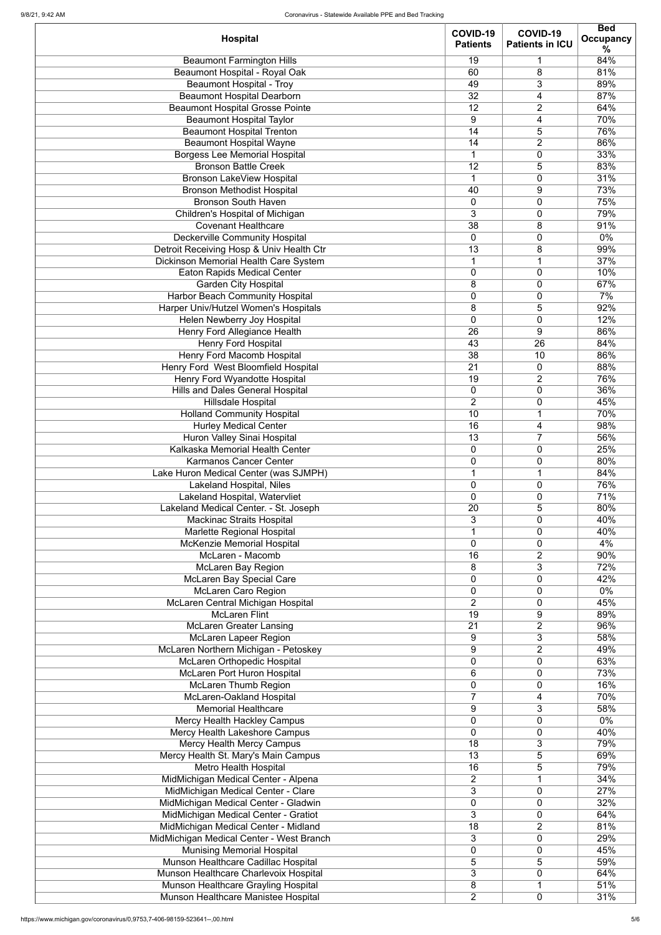| <b>Hospital</b>                              | COVID-19<br><b>Patients</b> | COVID-19<br><b>Patients in ICU</b> | <b>Bed</b><br><b>Occupancy</b><br>℅ |
|----------------------------------------------|-----------------------------|------------------------------------|-------------------------------------|
| <b>Beaumont Farmington Hills</b>             | 19                          | 1                                  | 84%                                 |
| <b>Beaumont Hospital - Royal Oak</b>         | 60                          | 8                                  | 81%                                 |
| <b>Beaumont Hospital - Troy</b>              | 49                          | 3                                  | 89%                                 |
| <b>Beaumont Hospital Dearborn</b>            | 32                          | 4                                  | 87%                                 |
| <b>Beaumont Hospital Grosse Pointe</b>       | 12                          | $\overline{2}$                     | 64%                                 |
| <b>Beaumont Hospital Taylor</b>              | 9                           | 4                                  | 70%                                 |
| <b>Beaumont Hospital Trenton</b>             | 14                          | 5                                  | 76%                                 |
|                                              |                             |                                    |                                     |
| <b>Beaumont Hospital Wayne</b>               | 14                          | $\overline{2}$                     | 86%                                 |
| <b>Borgess Lee Memorial Hospital</b>         | 1                           | 0                                  | 33%                                 |
| <b>Bronson Battle Creek</b>                  | 12                          | 5                                  | 83%                                 |
| <b>Bronson LakeView Hospital</b>             | 1                           | $\mathbf 0$                        | 31%                                 |
| <b>Bronson Methodist Hospital</b>            | 40                          | 9                                  | 73%                                 |
| <b>Bronson South Haven</b>                   | $\mathbf 0$                 | $\mathbf 0$                        | 75%                                 |
| Children's Hospital of Michigan              | 3                           | 0                                  | 79%                                 |
| <b>Covenant Healthcare</b>                   | 38                          | 8                                  | 91%                                 |
| <b>Deckerville Community Hospital</b>        | $\overline{0}$              | 0                                  | $0\%$                               |
| Detroit Receiving Hosp & Univ Health Ctr     | 13                          | 8                                  | 99%                                 |
| <b>Dickinson Memorial Health Care System</b> | $\mathbf 1$                 | $\mathbf 1$                        | 37%                                 |
| <b>Eaton Rapids Medical Center</b>           | 0                           | 0                                  | 10%                                 |
| <b>Garden City Hospital</b>                  | 8                           | $\mathbf 0$                        | 67%                                 |
| <b>Harbor Beach Community Hospital</b>       | $\boldsymbol{0}$            | $\mathbf 0$                        | 7%                                  |
| Harper Univ/Hutzel Women's Hospitals         | 8                           | 5                                  | 92%                                 |
| Helen Newberry Joy Hospital                  | $\overline{0}$              | $\mathbf 0$                        | 12%                                 |
|                                              |                             |                                    |                                     |
| <b>Henry Ford Allegiance Health</b>          | 26                          | 9                                  | 86%                                 |
| <b>Henry Ford Hospital</b>                   | 43                          | $\overline{26}$                    | 84%                                 |
| <b>Henry Ford Macomb Hospital</b>            | 38                          | 10                                 | 86%                                 |
| Henry Ford West Bloomfield Hospital          | $\overline{21}$             | 0                                  | 88%                                 |
| Henry Ford Wyandotte Hospital                | 19                          | 2                                  | 76%                                 |
| <b>Hills and Dales General Hospital</b>      | 0                           | 0                                  | 36%                                 |
| <b>Hillsdale Hospital</b>                    | $\overline{2}$              | 0                                  | 45%                                 |
| <b>Holland Community Hospital</b>            | 10                          | 1                                  | 70%                                 |
| <b>Hurley Medical Center</b>                 | 16                          | 4                                  | 98%                                 |
| <b>Huron Valley Sinai Hospital</b>           | 13                          | $\overline{7}$                     | 56%                                 |
| Kalkaska Memorial Health Center              | 0                           | 0                                  | 25%                                 |
| <b>Karmanos Cancer Center</b>                | $\mathbf 0$                 | 0                                  | 80%                                 |
| Lake Huron Medical Center (was SJMPH)        | $\overline{1}$              | 1                                  | 84%                                 |
| <b>Lakeland Hospital, Niles</b>              | $\mathbf 0$                 | 0                                  | 76%                                 |
| Lakeland Hospital, Watervliet                | $\mathbf 0$                 | 0                                  | 71%                                 |
| Lakeland Medical Center. - St. Joseph        | 20                          | 5                                  | 80%                                 |
| <b>Mackinac Straits Hospital</b>             | 3                           | 0                                  | 40%                                 |
| Marlette Regional Hospital                   | 1                           | 0                                  | 40%                                 |
| McKenzie Memorial Hospital                   | $\mathbf 0$                 | 0                                  | 4%                                  |
| McLaren - Macomb                             | 16                          | $\overline{2}$                     | 90%                                 |
| <b>McLaren Bay Region</b>                    | 8                           | 3                                  | 72%                                 |
| <b>McLaren Bay Special Care</b>              | $\mathbf 0$                 | 0                                  | 42%                                 |
| McLaren Caro Region                          | $\mathbf 0$                 | $\mathbf 0$                        | $0\%$                               |
| McLaren Central Michigan Hospital            | $\overline{2}$              | 0                                  | 45%                                 |
| <b>McLaren Flint</b>                         | 19                          | 9                                  | 89%                                 |
|                                              |                             |                                    | 96%                                 |
| <b>McLaren Greater Lansing</b>               | 21                          | $\overline{2}$                     |                                     |
| <b>McLaren Lapeer Region</b>                 | 9                           | 3                                  | 58%                                 |
| McLaren Northern Michigan - Petoskey         | 9                           | $\overline{2}$                     | 49%                                 |
| <b>McLaren Orthopedic Hospital</b>           | $\mathbf 0$                 | 0                                  | 63%                                 |
| McLaren Port Huron Hospital                  | 6                           | 0                                  | 73%                                 |
| <b>McLaren Thumb Region</b>                  | 0                           | 0                                  | 16%                                 |
| McLaren-Oakland Hospital                     | $\overline{7}$              | 4                                  | 70%                                 |
| <b>Memorial Healthcare</b>                   | 9                           | 3                                  | 58%                                 |
| <b>Mercy Health Hackley Campus</b>           | $\mathbf 0$                 | 0                                  | $0\%$                               |
| Mercy Health Lakeshore Campus                | 0                           | 0                                  | 40%                                 |
| <b>Mercy Health Mercy Campus</b>             | 18                          | 3                                  | 79%                                 |
| Mercy Health St. Mary's Main Campus          | 13                          | 5                                  | 69%                                 |
| <b>Metro Health Hospital</b>                 | 16                          | 5                                  | 79%                                 |
| MidMichigan Medical Center - Alpena          | $\overline{2}$              | 1                                  | 34%                                 |
| MidMichigan Medical Center - Clare           | 3                           | 0                                  | 27%                                 |
| MidMichigan Medical Center - Gladwin         | 0                           | 0                                  | 32%                                 |
| MidMichigan Medical Center - Gratiot         | 3                           | 0                                  | 64%                                 |
| MidMichigan Medical Center - Midland         | 18                          | 2                                  | 81%                                 |
| MidMichigan Medical Center - West Branch     | 3                           | 0                                  | 29%                                 |
| <b>Munising Memorial Hospital</b>            | 0                           | 0                                  | 45%                                 |
| Munson Healthcare Cadillac Hospital          | 5                           | 5                                  | 59%                                 |
| Munson Healthcare Charlevoix Hospital        | 3                           | 0                                  | 64%                                 |
| Munson Healthcare Grayling Hospital          | 8                           |                                    | 51%                                 |
|                                              | $\overline{2}$              |                                    |                                     |
| Munson Healthcare Manistee Hospital          |                             | 0                                  | 31%                                 |